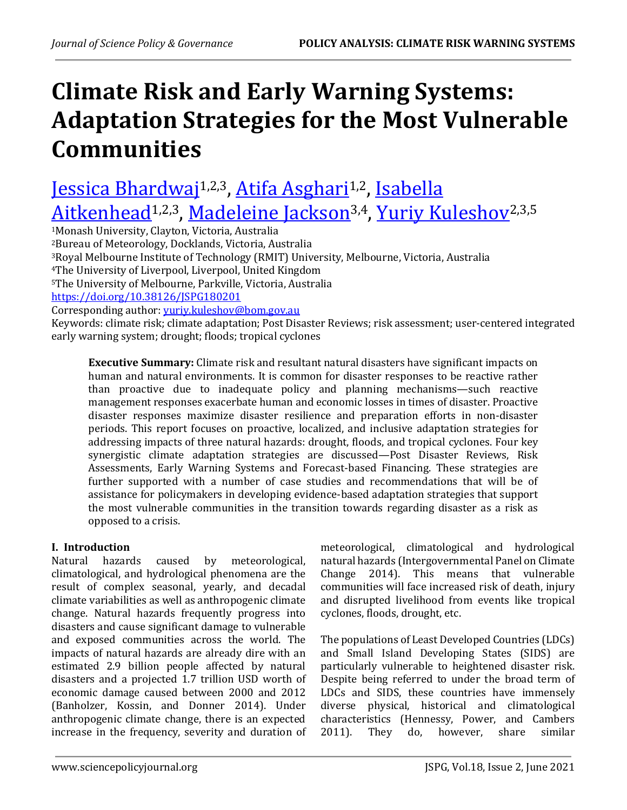# **Climate Risk and Early Warning Systems: Adaptation Strategies for the Most Vulnerable Communities**

# <u>[Jessica Bhardwaj](https://orcid.org/0000-0002-8323-6638)<sup>1,2,3</sup>, [Atifa Asghari](https://orcid.org/0000-0001-6629-6308)i,2, Isabella</u> <u>[Aitkenhead](https://orcid.org/0000-0002-1700-1419)1,2,3, [Madeleine Jackson](https://orcid.org/0000-0002-7667-180X)3,4, [Yuriy Kuleshov](http://orcid.org/0000-0003-3241-1667)</u>2,3,5

Monash University, Clayton, Victoria, Australia Bureau of Meteorology, Docklands, Victoria, Australia Royal Melbourne Institute of Technology (RMIT) University, Melbourne, Victoria, Australia The University of Liverpool, Liverpool, United Kingdom The University of Melbourne, Parkville, Victoria, Australia <https://doi.org/10.38126/JSPG180201> Corresponding author: [yuriy.kuleshov@bom.gov.au](mailto:yuriy.kuleshov@bom.gov.au) Keywords: climate risk; climate adaptation; Post Disaster Reviews; risk assessment; user-centered integrated

early warning system; drought; floods; tropical cyclones

**Executive Summary:** Climate risk and resultant natural disasters have significant impacts on human and natural environments. It is common for disaster responses to be reactive rather than proactive due to inadequate policy and planning mechanisms—such reactive management responses exacerbate human and economic losses in times of disaster. Proactive disaster responses maximize disaster resilience and preparation efforts in non-disaster periods. This report focuses on proactive, localized, and inclusive adaptation strategies for addressing impacts of three natural hazards: drought, floods, and tropical cyclones. Four key synergistic climate adaptation strategies are discussed—Post Disaster Reviews, Risk Assessments, Early Warning Systems and Forecast-based Financing. These strategies are further supported with a number of case studies and recommendations that will be of assistance for policymakers in developing evidence-based adaptation strategies that support the most vulnerable communities in the transition towards regarding disaster as a risk as opposed to a crisis.

# **I. Introduction**

Natural hazards caused by meteorological, climatological, and hydrological phenomena are the result of complex seasonal, yearly, and decadal climate variabilities as well as anthropogenic climate change. Natural hazards frequently progress into disasters and cause significant damage to vulnerable and exposed communities across the world. The impacts of natural hazards are already dire with an estimated 2.9 billion people affected by natural disasters and a projected 1.7 trillion USD worth of economic damage caused between 2000 and 2012 (Banholzer, Kossin, and Donner 2014). Under anthropogenic climate change, there is an expected increase in the frequency, severity and duration of meteorological, climatological and hydrological natural hazards (Intergovernmental Panel on Climate Change 2014). This means that vulnerable communities will face increased risk of death, injury and disrupted livelihood from events like tropical cyclones, floods, drought, etc.

The populations of Least Developed Countries (LDCs) and Small Island Developing States (SIDS) are particularly vulnerable to heightened disaster risk. Despite being referred to under the broad term of LDCs and SIDS, these countries have immensely diverse physical, historical and climatological characteristics (Hennessy, Power, and Cambers 2011). They do, however, share similar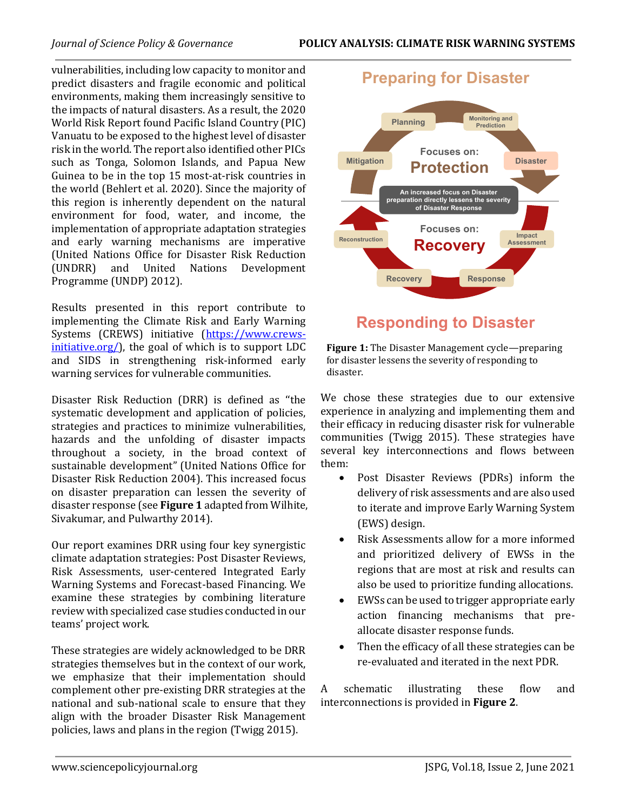vulnerabilities, including low capacity to monitor and predict disasters and fragile economic and political environments, making them increasingly sensitive to the impacts of natural disasters. As a result, the 2020 World Risk Report found Pacific Island Country (PIC) Vanuatu to be exposed to the highest level of disaster risk in the world. The report also identified other PICs such as Tonga, Solomon Islands, and Papua New Guinea to be in the top 15 most-at-risk countries in the world (Behlert et al. 2020). Since the majority of this region is inherently dependent on the natural environment for food, water, and income, the implementation of appropriate adaptation strategies and early warning mechanisms are imperative (United Nations Office for Disaster Risk Reduction (UNDRR) and United Nations Development Programme (UNDP) 2012).

Results presented in this report contribute to implementing the Climate Risk and Early Warning Systems (CREWS) initiative [\(https://www.crews](https://www.crews-initiative.org/)[initiative.org/\)](https://www.crews-initiative.org/), the goal of which is to support LDC and SIDS in strengthening risk-informed early warning services for vulnerable communities.

Disaster Risk Reduction (DRR) is defined as ''the systematic development and application of policies, strategies and practices to minimize vulnerabilities, hazards and the unfolding of disaster impacts throughout a society, in the broad context of sustainable development" (United Nations Office for Disaster Risk Reduction 2004). This increased focus on disaster preparation can lessen the severity of disaster response (see **Figure 1** adapted from Wilhite, Sivakumar, and Pulwarthy 2014).

Our report examines DRR using four key synergistic climate adaptation strategies: Post Disaster Reviews, Risk Assessments, user-centered Integrated Early Warning Systems and Forecast-based Financing. We examine these strategies by combining literature review with specialized case studies conducted in our teams' project work.

These strategies are widely acknowledged to be DRR strategies themselves but in the context of our work, we emphasize that their implementation should complement other pre-existing DRR strategies at the national and sub-national scale to ensure that they align with the broader Disaster Risk Management policies, laws and plans in the region (Twigg 2015).



# **Responding to Disaster**

**Figure 1:** The Disaster Management cycle—preparing for disaster lessens the severity of responding to disaster.

We chose these strategies due to our extensive experience in analyzing and implementing them and their efficacy in reducing disaster risk for vulnerable communities (Twigg 2015). These strategies have several key interconnections and flows between them:

- Post Disaster Reviews (PDRs) inform the delivery of risk assessments and are also used to iterate and improve Early Warning System (EWS) design.
- Risk Assessments allow for a more informed and prioritized delivery of EWSs in the regions that are most at risk and results can also be used to prioritize funding allocations.
- EWSs can be used to trigger appropriate early action financing mechanisms that preallocate disaster response funds.
- Then the efficacy of all these strategies can be re-evaluated and iterated in the next PDR.

A schematic illustrating these flow and interconnections is provided in **Figure 2**.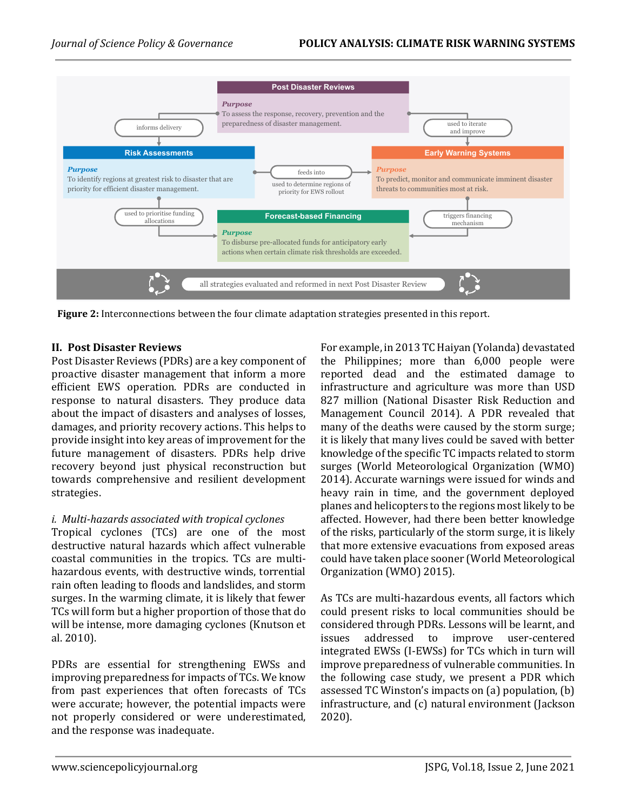

**Figure 2:** Interconnections between the four climate adaptation strategies presented in this report.

# **II. Post Disaster Reviews**

Post Disaster Reviews (PDRs) are a key component of proactive disaster management that inform a more efficient EWS operation. PDRs are conducted in response to natural disasters. They produce data about the impact of disasters and analyses of losses, damages, and priority recovery actions. This helps to provide insight into key areas of improvement for the future management of disasters. PDRs help drive recovery beyond just physical reconstruction but towards comprehensive and resilient development strategies.

#### *i. Multi-hazards associated with tropical cyclones*

Tropical cyclones (TCs) are one of the most destructive natural hazards which affect vulnerable coastal communities in the tropics. TCs are multihazardous events, with destructive winds, torrential rain often leading to floods and landslides, and storm surges. In the warming climate, it is likely that fewer TCs will form but a higher proportion of those that do will be intense, more damaging cyclones (Knutson et al. 2010).

PDRs are essential for strengthening EWSs and improving preparedness for impacts of TCs. We know from past experiences that often forecasts of TCs were accurate; however, the potential impacts were not properly considered or were underestimated, and the response was inadequate.

For example, in 2013 TC Haiyan (Yolanda) devastated the Philippines; more than 6,000 people were reported dead and the estimated damage to infrastructure and agriculture was more than USD 827 million (National Disaster Risk Reduction and Management Council 2014). A PDR revealed that many of the deaths were caused by the storm surge; it is likely that many lives could be saved with better knowledge of the specific TC impacts related to storm surges (World Meteorological Organization (WMO) 2014). Accurate warnings were issued for winds and heavy rain in time, and the government deployed planes and helicopters to the regions most likely to be affected. However, had there been better knowledge of the risks, particularly of the storm surge, it is likely that more extensive evacuations from exposed areas could have taken place sooner (World Meteorological Organization (WMO) 2015).

As TCs are multi-hazardous events, all factors which could present risks to local communities should be considered through PDRs. Lessons will be learnt, and issues addressed to improve user-centered integrated EWSs (I-EWSs) for TCs which in turn will improve preparedness of vulnerable communities. In the following case study, we present a PDR which assessed TC Winston's impacts on (a) population, (b) infrastructure, and (c) natural environment (Jackson 2020).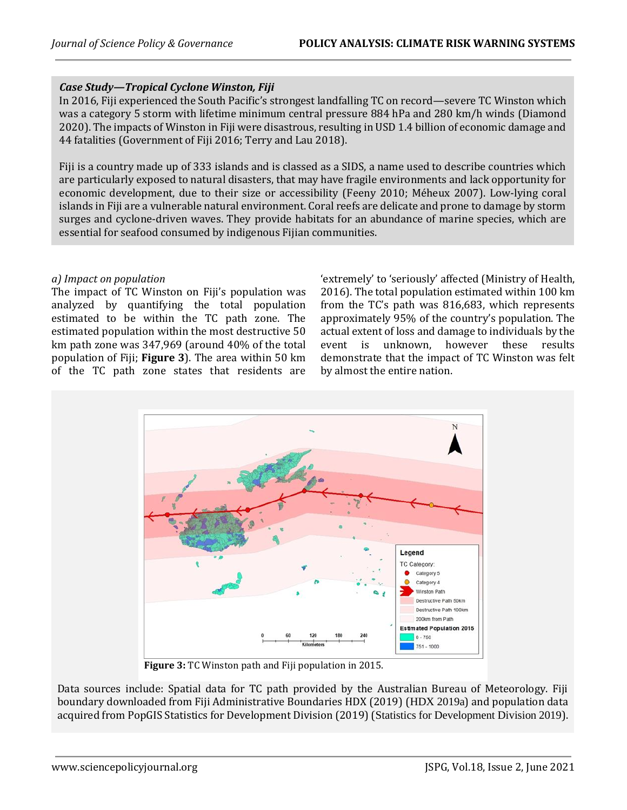# *Case Study—Tropical Cyclone Winston, Fiji*

In 2016, Fiji experienced the South Pacific's strongest landfalling TC on record—severe TC Winston which was a category 5 storm with lifetime minimum central pressure 884 hPa and 280 km/h winds (Diamond 2020). The impacts of Winston in Fiji were disastrous, resulting in USD 1.4 billion of economic damage and 44 fatalities (Government of Fiji 2016; Terry and Lau 2018).

Fiji is a country made up of 333 islands and is classed as a SIDS, a name used to describe countries which are particularly exposed to natural disasters, that may have fragile environments and lack opportunity for economic development, due to their size or accessibility (Feeny 2010; Méheux 2007). Low-lying coral islands in Fiji are a vulnerable natural environment. Coral reefs are delicate and prone to damage by storm surges and cyclone-driven waves. They provide habitats for an abundance of marine species, which are essential for seafood consumed by indigenous Fijian communities.

#### *a) Impact on population*

The impact of TC Winston on Fiji's population was analyzed by quantifying the total population estimated to be within the TC path zone. The estimated population within the most destructive 50 km path zone was 347,969 (around 40% of the total population of Fiji; **Figure 3**). The area within 50 km of the TC path zone states that residents are

'extremely' to 'seriously' affected (Ministry of Health, 2016). The total population estimated within 100 km from the TC's path was 816,683, which represents approximately 95% of the country's population. The actual extent of loss and damage to individuals by the event is unknown, however these results demonstrate that the impact of TC Winston was felt by almost the entire nation.



**Figure 3:** TC Winston path and Fiji population in 2015.

Data sources include: Spatial data for TC path provided by the Australian Bureau of Meteorology. Fiji boundary downloaded from Fiji Administrative Boundaries HDX (2019) (HDX 2019a) and population data acquired from PopGIS Statistics for Development Division (2019) (Statistics for Development Division 2019).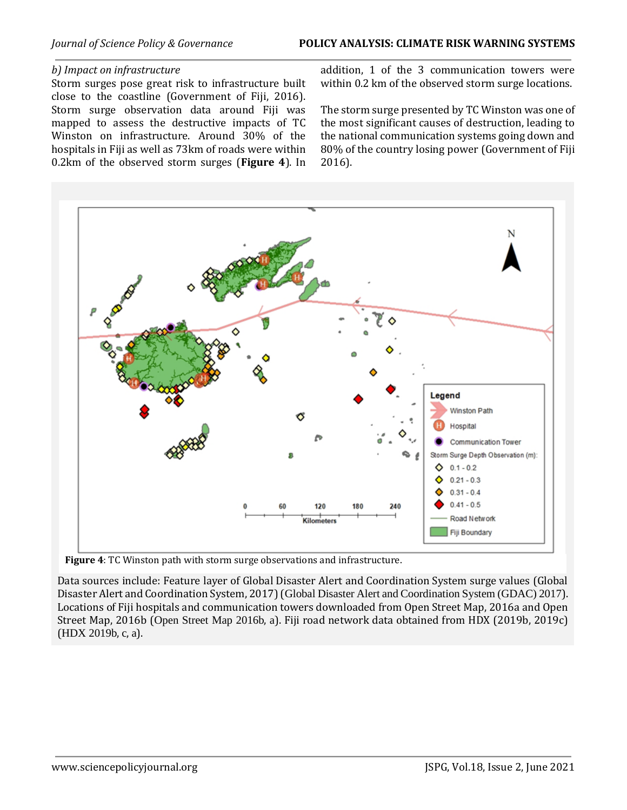#### *b) Impact on infrastructure*

Storm surges pose great risk to infrastructure built close to the coastline (Government of Fiji, 2016). Storm surge observation data around Fiji was mapped to assess the destructive impacts of TC Winston on infrastructure. Around 30% of the hospitals in Fiji as well as 73km of roads were within 0.2km of the observed storm surges (**Figure 4**). In

addition, 1 of the 3 communication towers were within 0.2 km of the observed storm surge locations.

The storm surge presented by TC Winston was one of the most significant causes of destruction, leading to the national communication systems going down and 80% of the country losing power (Government of Fiji 2016).



**Figure 4**: TC Winston path with storm surge observations and infrastructure.

Data sources include: Feature layer of Global Disaster Alert and Coordination System surge values (Global Disaster Alert and Coordination System, 2017) (Global Disaster Alert and Coordination System (GDAC) 2017). Locations of Fiji hospitals and communication towers downloaded from Open Street Map, 2016a and Open Street Map, 2016b (Open Street Map 2016b, a). Fiji road network data obtained from HDX (2019b, 2019c) (HDX 2019b, c, a).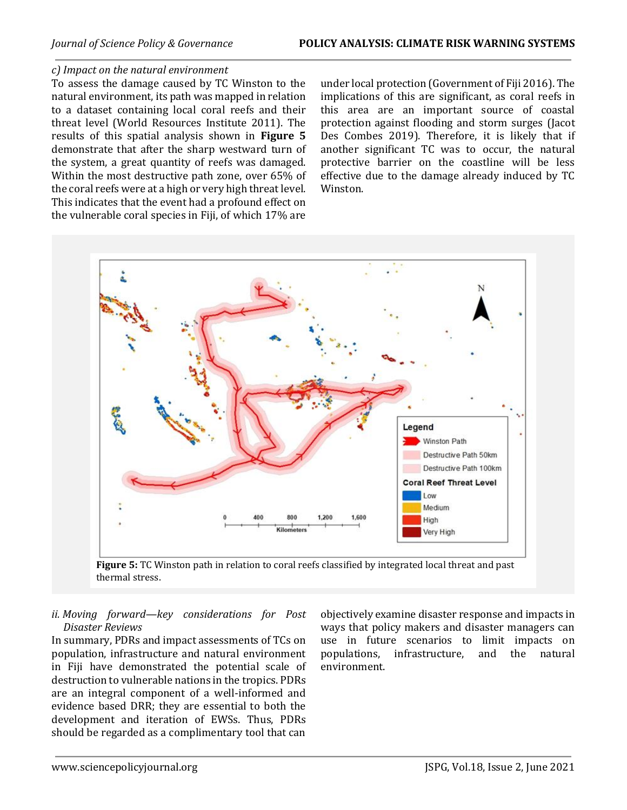#### *c) Impact on the natural environment*

To assess the damage caused by TC Winston to the natural environment, its path was mapped in relation to a dataset containing local coral reefs and their threat level (World Resources Institute 2011). The results of this spatial analysis shown in **Figure 5** demonstrate that after the sharp westward turn of the system, a great quantity of reefs was damaged. Within the most destructive path zone, over 65% of the coral reefs were at a high or very high threat level. This indicates that the event had a profound effect on the vulnerable coral species in Fiji, of which 17% are

under local protection (Government of Fiji 2016). The implications of this are significant, as coral reefs in this area are an important source of coastal protection against flooding and storm surges (Jacot Des Combes 2019). Therefore, it is likely that if another significant TC was to occur, the natural protective barrier on the coastline will be less effective due to the damage already induced by TC Winston.



**Figure 5:** TC Winston path in relation to coral reefs classified by integrated local threat and past thermal stress.

*ii. Moving forward—key considerations for Post Disaster Reviews*

In summary, PDRs and impact assessments of TCs on population, infrastructure and natural environment in Fiji have demonstrated the potential scale of destruction to vulnerable nations in the tropics. PDRs are an integral component of a well-informed and evidence based DRR; they are essential to both the development and iteration of EWSs. Thus, PDRs should be regarded as a complimentary tool that can objectively examine disaster response and impacts in ways that policy makers and disaster managers can use in future scenarios to limit impacts on populations, infrastructure, and the natural environment.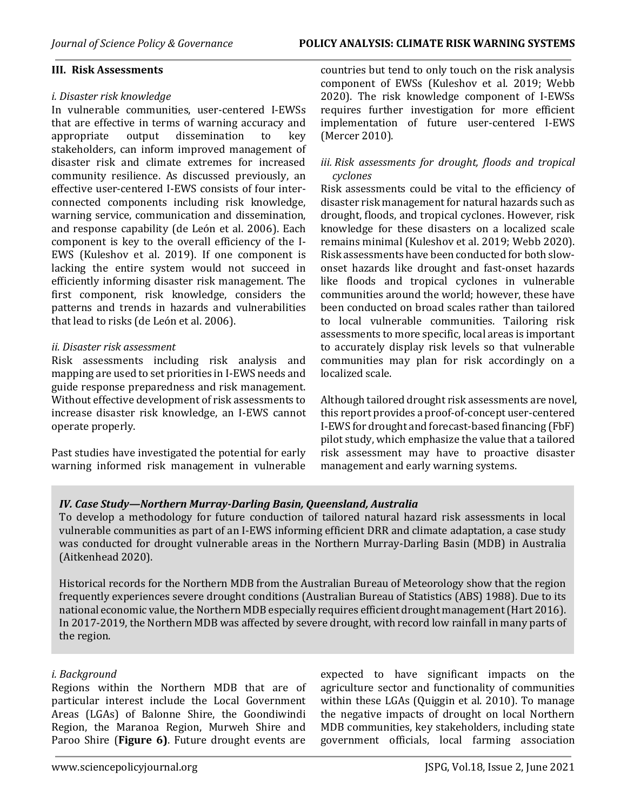#### *i. Disaster risk knowledge*

In vulnerable communities, user-centered I-EWSs that are effective in terms of warning accuracy and appropriate output dissemination to key stakeholders, can inform improved management of disaster risk and climate extremes for increased community resilience. As discussed previously, an effective user-centered I-EWS consists of four interconnected components including risk knowledge, warning service, communication and dissemination, and response capability (de León et al. 2006). Each component is key to the overall efficiency of the I-EWS (Kuleshov et al. 2019). If one component is lacking the entire system would not succeed in efficiently informing disaster risk management. The first component, risk knowledge, considers the patterns and trends in hazards and vulnerabilities that lead to risks (de León et al. 2006).

#### *ii. Disaster risk assessment*

Risk assessments including risk analysis and mapping are used to set priorities in I-EWS needs and guide response preparedness and risk management. Without effective development of risk assessments to increase disaster risk knowledge, an I-EWS cannot operate properly.

Past studies have investigated the potential for early warning informed risk management in vulnerable countries but tend to only touch on the risk analysis component of EWSs (Kuleshov et al. 2019; Webb 2020). The risk knowledge component of I-EWSs requires further investigation for more efficient implementation of future user-centered I-EWS (Mercer 2010).

#### *iii. Risk assessments for drought, floods and tropical cyclones*

Risk assessments could be vital to the efficiency of disaster risk management for natural hazards such as drought, floods, and tropical cyclones. However, risk knowledge for these disasters on a localized scale remains minimal (Kuleshov et al. 2019; Webb 2020). Risk assessments have been conducted for both slowonset hazards like drought and fast-onset hazards like floods and tropical cyclones in vulnerable communities around the world; however, these have been conducted on broad scales rather than tailored to local vulnerable communities. Tailoring risk assessments to more specific, local areas is important to accurately display risk levels so that vulnerable communities may plan for risk accordingly on a localized scale.

Although tailored drought risk assessments are novel, this report provides a proof-of-concept user-centered I-EWS for drought and forecast-based financing (FbF) pilot study, which emphasize the value that a tailored risk assessment may have to proactive disaster management and early warning systems.

# *IV. Case Study—Northern Murray-Darling Basin, Queensland, Australia*

To develop a methodology for future conduction of tailored natural hazard risk assessments in local vulnerable communities as part of an I-EWS informing efficient DRR and climate adaptation, a case study was conducted for drought vulnerable areas in the Northern Murray-Darling Basin (MDB) in Australia (Aitkenhead 2020).

Historical records for the Northern MDB from the Australian Bureau of Meteorology show that the region frequently experiences severe drought conditions (Australian Bureau of Statistics (ABS) 1988). Due to its national economic value, the Northern MDB especially requires efficient drought management (Hart 2016). In 2017-2019, the Northern MDB was affected by severe drought, with record low rainfall in many parts of the region.

#### *i. Background*

Regions within the Northern MDB that are of particular interest include the Local Government Areas (LGAs) of Balonne Shire, the Goondiwindi Region, the Maranoa Region, Murweh Shire and Paroo Shire (**Figure 6)**. Future drought events are expected to have significant impacts on the agriculture sector and functionality of communities within these LGAs (Quiggin et al. 2010). To manage the negative impacts of drought on local Northern MDB communities, key stakeholders, including state government officials, local farming association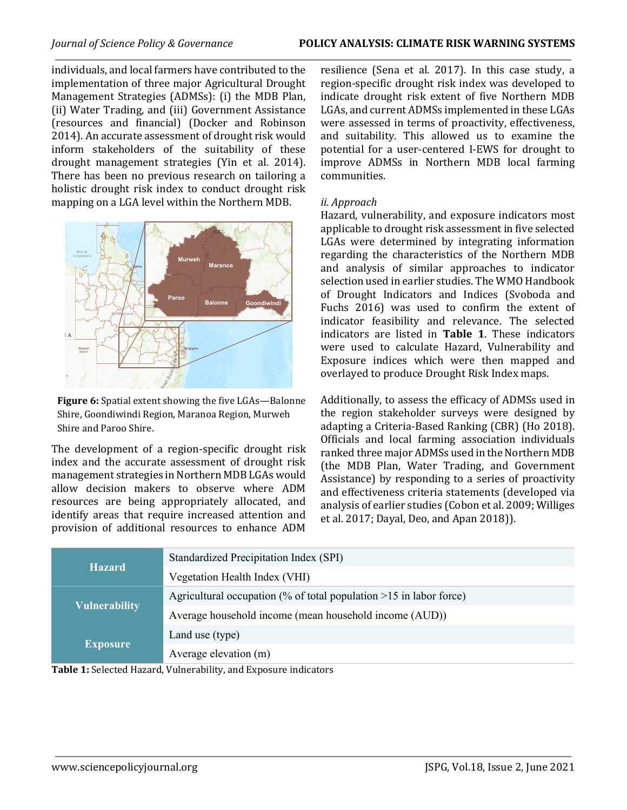individuals, and local farmers have contributed to the implementation of three major Agricultural Drought Management Strategies (ADMSs): (i) the MDB Plan, (ii) Water Trading, and (iii) Government Assistance (resources and financial) (Docker and Robinson 2014). An accurate assessment of drought risk would inform stakeholders of the suitability of these drought management strategies (Yin et al. 2014). There has been no previous research on tailoring a holistic drought risk index to conduct drought risk mapping on a LGA level within the Northern MDB.



**Figure 6:** Spatial extent showing the five LGAs—Balonne Shire, Goondiwindi Region, Maranoa Region, Murweh Shire and Paroo Shire.

The development of a region-specific drought risk index and the accurate assessment of drought risk management strategies in Northern MDB LGAs would allow decision makers to observe where ADM resources are being appropriately allocated, and identify areas that require increased attention and provision of additional resources to enhance ADM

resilience (Sena et al. 2017). In this case study, a region-specific drought risk index was developed to indicate drought risk extent of five Northern MDB LGAs, and current ADMSs implemented in these LGAs were assessed in terms of proactivity, effectiveness, and suitability. This allowed us to examine the potential for a user-centered I-EWS for drought to improve ADMSs in Northern MDB local farming communities.

#### *ii. Approach*

Hazard, vulnerability, and exposure indicators most applicable to drought risk assessment in five selected LGAs were determined by integrating information regarding the characteristics of the Northern MDB and analysis of similar approaches to indicator selection used in earlier studies. The WMO Handbook of Drought Indicators and Indices (Svoboda and Fuchs 2016) was used to confirm the extent of indicator feasibility and relevance. The selected indicators are listed in **Table 1**. These indicators were used to calculate Hazard, Vulnerability and Exposure indices which were then mapped and overlayed to produce Drought Risk Index maps.

Additionally, to assess the efficacy of ADMSs used in the region stakeholder surveys were designed by adapting a Criteria-Based Ranking (CBR) (Ho 2018). Officials and local farming association individuals ranked three major ADMSs used in the Northern MDB (the MDB Plan, Water Trading, and Government Assistance) by responding to a series of proactivity and effectiveness criteria statements (developed via analysis of earlier studies (Cobon et al. 2009; Williges et al. 2017; Dayal, Deo, and Apan 2018)).

|                      | Standardized Precipitation Index (SPI)                               |
|----------------------|----------------------------------------------------------------------|
| <b>Hazard</b>        | Vegetation Health Index (VHI)                                        |
|                      | Agricultural occupation (% of total population $>15$ in labor force) |
| <b>Vulnerability</b> | Average household income (mean household income (AUD))               |
| <b>Exposure</b>      | Land use (type)                                                      |
|                      | Average elevation (m)                                                |

**Table 1:** Selected Hazard, Vulnerability, and Exposure indicators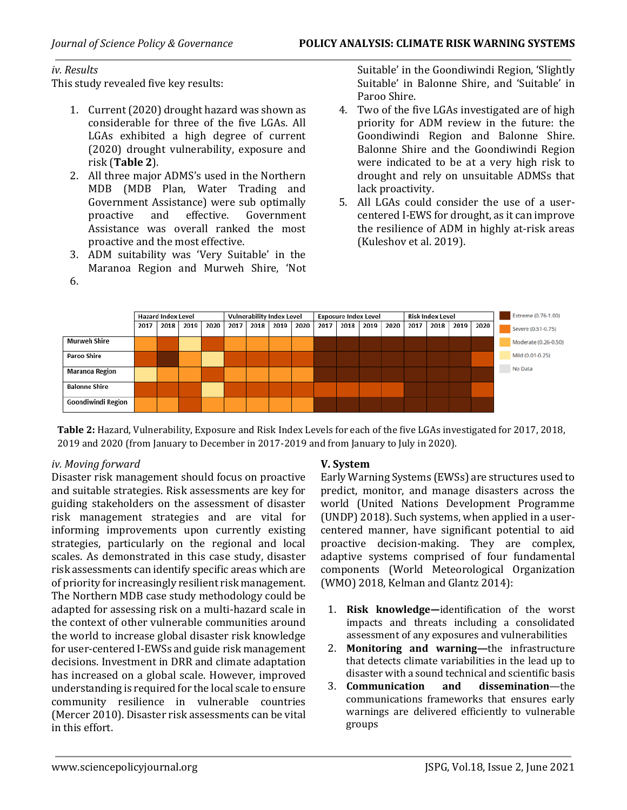### *iv. Results*

This study revealed five key results:

- 1. Current (2020) drought hazard was shown as considerable for three of the five LGAs. All LGAs exhibited a high degree of current (2020) drought vulnerability, exposure and risk (**Table 2**).
- 2. All three major ADMS's used in the Northern MDB (MDB Plan, Water Trading and Government Assistance) were sub optimally proactive and effective. Government Assistance was overall ranked the most proactive and the most effective.
- 3. ADM suitability was 'Very Suitable' in the Maranoa Region and Murweh Shire, 'Not 6.

Suitable' in the Goondiwindi Region, 'Slightly Suitable' in Balonne Shire, and 'Suitable' in Paroo Shire.

- 4. Two of the five LGAs investigated are of high priority for ADM review in the future: the Goondiwindi Region and Balonne Shire. Balonne Shire and the Goondiwindi Region were indicated to be at a very high risk to drought and rely on unsuitable ADMSs that lack proactivity.
- 5. All LGAs could consider the use of a usercentered I-EWS for drought, as it can improve the resilience of ADM in highly at-risk areas (Kuleshov et al. 2019).



**Table 2:** Hazard, Vulnerability, Exposure and Risk Index Levels for each of the five LGAs investigated for 2017, 2018, 2019 and 2020 (from January to December in 2017-2019 and from January to July in 2020).

# *iv. Moving forward*

Disaster risk management should focus on proactive and suitable strategies. Risk assessments are key for guiding stakeholders on the assessment of disaster risk management strategies and are vital for informing improvements upon currently existing strategies, particularly on the regional and local scales. As demonstrated in this case study, disaster risk assessments can identify specific areas which are of priority for increasingly resilient risk management. The Northern MDB case study methodology could be adapted for assessing risk on a multi-hazard scale in the context of other vulnerable communities around the world to increase global disaster risk knowledge for user-centered I-EWSs and guide risk management decisions. Investment in DRR and climate adaptation has increased on a global scale. However, improved understanding is required for the local scale to ensure community resilience in vulnerable countries (Mercer 2010). Disaster risk assessments can be vital in this effort.

# **V. System**

Early Warning Systems (EWSs) are structures used to predict, monitor, and manage disasters across the world (United Nations Development Programme (UNDP) 2018). Such systems, when applied in a usercentered manner, have significant potential to aid proactive decision-making. They are complex, adaptive systems comprised of four fundamental components (World Meteorological Organization (WMO) 2018, Kelman and Glantz 2014):

- 1. **Risk knowledge—**identification of the worst impacts and threats including a consolidated assessment of any exposures and vulnerabilities
- 2. **Monitoring and warning—**the infrastructure that detects climate variabilities in the lead up to disaster with a sound technical and scientific basis
- 3. **Communication and dissemination**—the communications frameworks that ensures early warnings are delivered efficiently to vulnerable groups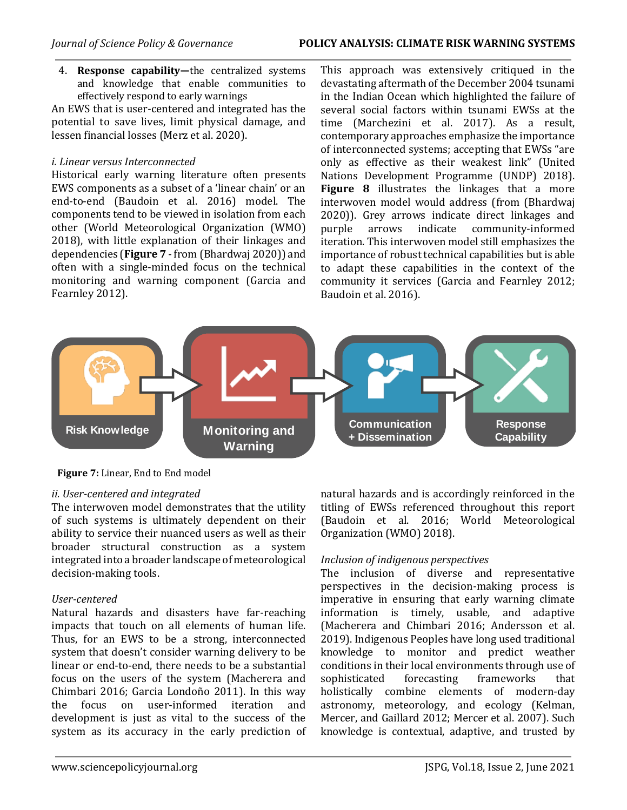4. **Response capability—**the centralized systems and knowledge that enable communities to effectively respond to early warnings

An EWS that is user-centered and integrated has the potential to save lives, limit physical damage, and lessen financial losses (Merz et al. 2020).

# *i. Linear versus Interconnected*

Historical early warning literature often presents EWS components as a subset of a 'linear chain' or an end-to-end (Baudoin et al. 2016) model. The components tend to be viewed in isolation from each other (World Meteorological Organization (WMO) 2018), with little explanation of their linkages and dependencies (**Figure 7** - from (Bhardwaj 2020)) and often with a single-minded focus on the technical monitoring and warning component (Garcia and Fearnley 2012).

This approach was extensively critiqued in the devastating aftermath of the December 2004 tsunami in the Indian Ocean which highlighted the failure of several social factors within tsunami EWSs at the time (Marchezini et al. 2017). As a result, contemporary approaches emphasize the importance of interconnected systems; accepting that EWSs "are only as effective as their weakest link" (United Nations Development Programme (UNDP) 2018). **Figure 8** illustrates the linkages that a more interwoven model would address (from (Bhardwaj 2020)). Grey arrows indicate direct linkages and purple arrows indicate community-informed iteration. This interwoven model still emphasizes the importance of robust technical capabilities but is able to adapt these capabilities in the context of the community it services (Garcia and Fearnley 2012; Baudoin et al. 2016).



**Figure 7:** Linear, End to End model

# *ii. User-centered and integrated*

The interwoven model demonstrates that the utility of such systems is ultimately dependent on their ability to service their nuanced users as well as their broader structural construction as a system integrated into a broader landscape of meteorological decision-making tools.

# *User-centered*

Natural hazards and disasters have far-reaching impacts that touch on all elements of human life. Thus, for an EWS to be a strong, interconnected system that doesn't consider warning delivery to be linear or end-to-end, there needs to be a substantial focus on the users of the system (Macherera and Chimbari 2016; Garcia Londoño 2011). In this way the focus on user-informed iteration and development is just as vital to the success of the system as its accuracy in the early prediction of natural hazards and is accordingly reinforced in the titling of EWSs referenced throughout this report (Baudoin et al. 2016; World Meteorological Organization (WMO) 2018).

# *Inclusion of indigenous perspectives*

The inclusion of diverse and representative perspectives in the decision-making process is imperative in ensuring that early warning climate information is timely, usable, and adaptive (Macherera and Chimbari 2016; Andersson et al. 2019). Indigenous Peoples have long used traditional knowledge to monitor and predict weather conditions in their local environments through use of sophisticated forecasting frameworks that holistically combine elements of modern-day astronomy, meteorology, and ecology (Kelman, Mercer, and Gaillard 2012; Mercer et al. 2007). Such knowledge is contextual, adaptive, and trusted by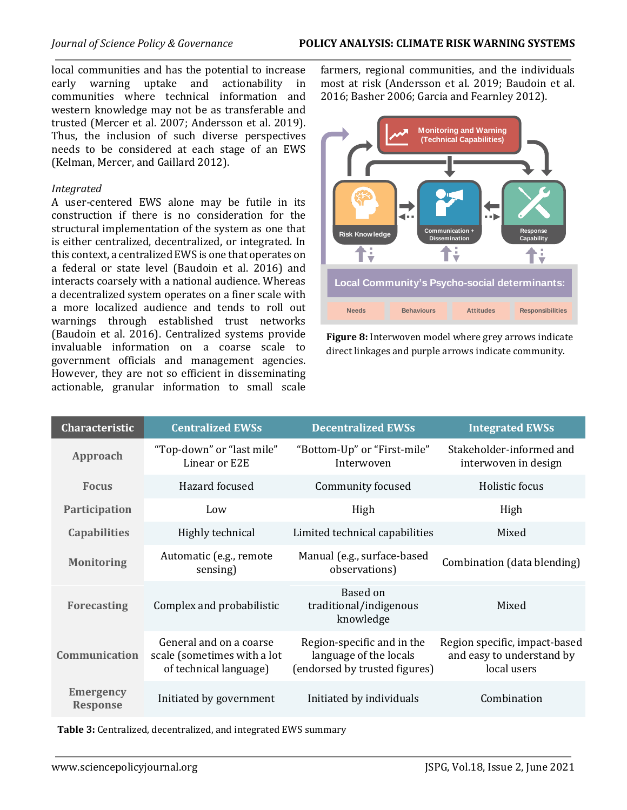local communities and has the potential to increase early warning uptake and actionability in communities where technical information and western knowledge may not be as transferable and trusted (Mercer et al. 2007; Andersson et al. 2019). Thus, the inclusion of such diverse perspectives needs to be considered at each stage of an EWS (Kelman, Mercer, and Gaillard 2012).

# *Integrated*

A user-centered EWS alone may be futile in its construction if there is no consideration for the structural implementation of the system as one that is either centralized, decentralized, or integrated. In this context, a centralized EWS is one that operates on a federal or state level (Baudoin et al. 2016) and interacts coarsely with a national audience. Whereas a decentralized system operates on a finer scale with a more localized audience and tends to roll out warnings through established trust networks (Baudoin et al. 2016). Centralized systems provide invaluable information on a coarse scale to government officials and management agencies. However, they are not so efficient in disseminating actionable, granular information to small scale

farmers, regional communities, and the individuals most at risk (Andersson et al. 2019; Baudoin et al. 2016; Basher 2006; Garcia and Fearnley 2012).



**Figure 8:** Interwoven model where grey arrows indicate direct linkages and purple arrows indicate community.

| <b>Characteristic</b>               | <b>Centralized EWSs</b><br><b>Decentralized EWSs</b>                             |                                                                                       | <b>Integrated EWSs</b>                                                    |
|-------------------------------------|----------------------------------------------------------------------------------|---------------------------------------------------------------------------------------|---------------------------------------------------------------------------|
| Approach                            | "Top-down" or "last mile"<br>Linear or E2E                                       | "Bottom-Up" or "First-mile"<br>Interwoven                                             | Stakeholder-informed and<br>interwoven in design                          |
| <b>Focus</b>                        | Hazard focused                                                                   | Community focused                                                                     | Holistic focus                                                            |
| Participation                       | Low                                                                              | High                                                                                  | High                                                                      |
| <b>Capabilities</b>                 | Highly technical                                                                 | Limited technical capabilities                                                        | Mixed                                                                     |
| <b>Monitoring</b>                   | Automatic (e.g., remote<br>sensing)                                              | Manual (e.g., surface-based<br>observations)                                          | Combination (data blending)                                               |
| <b>Forecasting</b>                  | Complex and probabilistic                                                        | Based on<br>traditional/indigenous<br>knowledge                                       | Mixed                                                                     |
| Communication                       | General and on a coarse<br>scale (sometimes with a lot<br>of technical language) | Region-specific and in the<br>language of the locals<br>(endorsed by trusted figures) | Region specific, impact-based<br>and easy to understand by<br>local users |
| <b>Emergency</b><br><b>Response</b> | Initiated by government                                                          | Initiated by individuals                                                              | Combination                                                               |

**Table 3:** Centralized, decentralized, and integrated EWS summary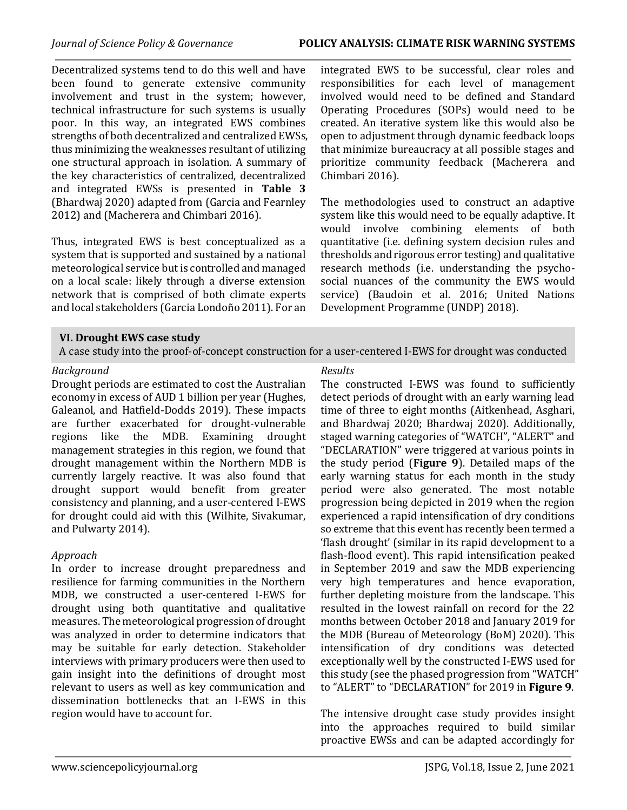#### *Journal of Science Policy & Governance* **POLICY ANALYSIS: CLIMATE RISK WARNING SYSTEMS**

Decentralized systems tend to do this well and have been found to generate extensive community involvement and trust in the system; however, technical infrastructure for such systems is usually poor. In this way, an integrated EWS combines strengths of both decentralized and centralized EWSs, thus minimizing the weaknesses resultant of utilizing one structural approach in isolation. A summary of the key characteristics of centralized, decentralized and integrated EWSs is presented in **Table 3**  (Bhardwaj 2020) adapted from (Garcia and Fearnley 2012) and (Macherera and Chimbari 2016).

Thus, integrated EWS is best conceptualized as a system that is supported and sustained by a national meteorological service but is controlled and managed on a local scale: likely through a diverse extension network that is comprised of both climate experts and local stakeholders (Garcia Londoño 2011). For an

integrated EWS to be successful, clear roles and responsibilities for each level of management involved would need to be defined and Standard Operating Procedures (SOPs) would need to be created. An iterative system like this would also be open to adjustment through dynamic feedback loops that minimize bureaucracy at all possible stages and prioritize community feedback (Macherera and Chimbari 2016).

The methodologies used to construct an adaptive system like this would need to be equally adaptive. It would involve combining elements of both quantitative (i.e. defining system decision rules and thresholds and rigorous error testing) and qualitative research methods (i.e. understanding the psychosocial nuances of the community the EWS would service) (Baudoin et al. 2016; United Nations Development Programme (UNDP) 2018).

# **VI. Drought EWS case study**

A case study into the proof-of-concept construction for a user-centered I-EWS for drought was conducted

#### *Background* for the Northern Murray Darling Basin in Australia (Bhardwaj 2020).

Drought periods are estimated to cost the Australian economy in excess of AUD 1 billion per year (Hughes, Galeanol, and Hatfield-Dodds 2019). These impacts are further exacerbated for drought-vulnerable regions like the MDB. Examining drought management strategies in this region, we found that drought management within the Northern MDB is currently largely reactive. It was also found that drought support would benefit from greater consistency and planning, and a user-centered I-EWS for drought could aid with this (Wilhite, Sivakumar, and Pulwarty 2014).

# *Approach*

In order to increase drought preparedness and resilience for farming communities in the Northern MDB, we constructed a user-centered I-EWS for drought using both quantitative and qualitative measures. The meteorological progression of drought was analyzed in order to determine indicators that may be suitable for early detection. Stakeholder interviews with primary producers were then used to gain insight into the definitions of drought most relevant to users as well as key communication and dissemination bottlenecks that an I-EWS in this region would have to account for.

# *Results*

The constructed I-EWS was found to sufficiently detect periods of drought with an early warning lead time of three to eight months (Aitkenhead, Asghari, and Bhardwaj 2020; Bhardwaj 2020). Additionally, staged warning categories of "WATCH", "ALERT" and "DECLARATION" were triggered at various points in the study period (**Figure 9**). Detailed maps of the early warning status for each month in the study period were also generated. The most notable progression being depicted in 2019 when the region experienced a rapid intensification of dry conditions so extreme that this event has recently been termed a 'flash drought' (similar in its rapid development to a flash-flood event). This rapid intensification peaked in September 2019 and saw the MDB experiencing very high temperatures and hence evaporation, further depleting moisture from the landscape. This resulted in the lowest rainfall on record for the 22 months between October 2018 and January 2019 for the MDB (Bureau of Meteorology (BoM) 2020). This intensification of dry conditions was detected exceptionally well by the constructed I-EWS used for this study (see the phased progression from "WATCH" to "ALERT" to "DECLARATION" for 2019 in **Figure 9**.

The intensive drought case study provides insight into the approaches required to build similar proactive EWSs and can be adapted accordingly for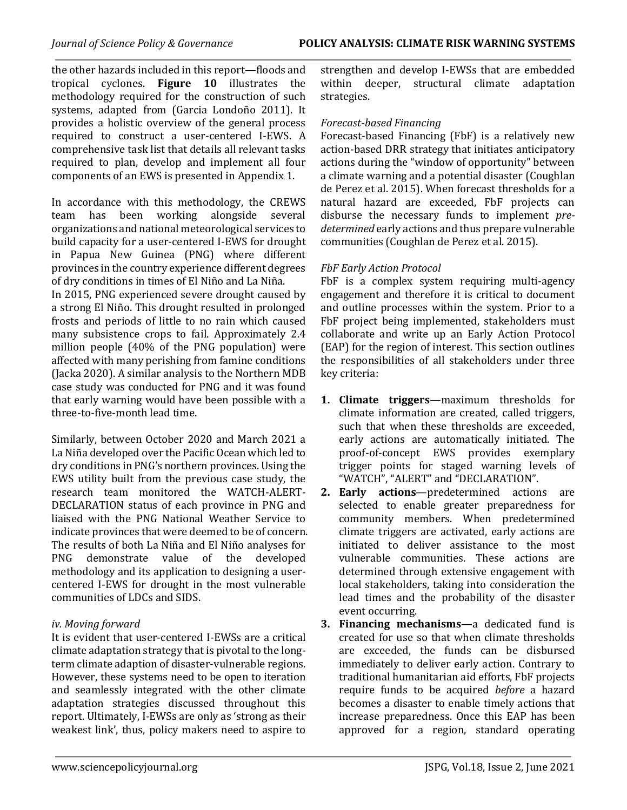the other hazards included in this report—floods and tropical cyclones. **Figure 10** illustrates the methodology required for the construction of such systems, adapted from (Garcia Londoño 2011). It provides a holistic overview of the general process required to construct a user-centered I-EWS. A comprehensive task list that details all relevant tasks required to plan, develop and implement all four components of an EWS is presented in Appendix 1.

In accordance with this methodology, the CREWS team has been working alongside several organizations and national meteorological services to build capacity for a user-centered I-EWS for drought in Papua New Guinea (PNG) where different provinces in the country experience different degrees of dry conditions in times of El Niño and La Niña.

In 2015, PNG experienced severe drought caused by a strong El Niño. This drought resulted in prolonged frosts and periods of little to no rain which caused many subsistence crops to fail. Approximately 2.4 million people (40% of the PNG population) were affected with many perishing from famine conditions (Jacka 2020). A similar analysis to the Northern MDB case study was conducted for PNG and it was found that early warning would have been possible with a three-to-five-month lead time.

Similarly, between October 2020 and March 2021 a La Niña developed over the Pacific Ocean which led to dry conditions in PNG's northern provinces. Using the EWS utility built from the previous case study, the research team monitored the WATCH-ALERT-DECLARATION status of each province in PNG and liaised with the PNG National Weather Service to indicate provinces that were deemed to be of concern. The results of both La Niña and El Niño analyses for PNG demonstrate value of the developed methodology and its application to designing a usercentered I-EWS for drought in the most vulnerable communities of LDCs and SIDS.

# *iv. Moving forward*

It is evident that user-centered I-EWSs are a critical climate adaptation strategy that is pivotal to the longterm climate adaption of disaster-vulnerable regions. However, these systems need to be open to iteration and seamlessly integrated with the other climate adaptation strategies discussed throughout this report. Ultimately, I-EWSs are only as 'strong as their weakest link', thus, policy makers need to aspire to strengthen and develop I-EWSs that are embedded within deeper, structural climate adaptation strategies.

# *Forecast-based Financing*

Forecast-based Financing (FbF) is a relatively new action-based DRR strategy that initiates anticipatory actions during the "window of opportunity" between a climate warning and a potential disaster (Coughlan de Perez et al. 2015). When forecast thresholds for a natural hazard are exceeded, FbF projects can disburse the necessary funds to implement *predetermined* early actions and thus prepare vulnerable communities (Coughlan de Perez et al. 2015).

# *FbF Early Action Protocol*

FbF is a complex system requiring multi-agency engagement and therefore it is critical to document and outline processes within the system. Prior to a FbF project being implemented, stakeholders must collaborate and write up an Early Action Protocol (EAP) for the region of interest. This section outlines the responsibilities of all stakeholders under three key criteria:

- **1. Climate triggers**—maximum thresholds for climate information are created, called triggers, such that when these thresholds are exceeded, early actions are automatically initiated. The proof-of-concept EWS provides exemplary trigger points for staged warning levels of "WATCH", "ALERT" and "DECLARATION".
- **2. Early actions**—predetermined actions are selected to enable greater preparedness for community members. When predetermined climate triggers are activated, early actions are initiated to deliver assistance to the most vulnerable communities. These actions are determined through extensive engagement with local stakeholders, taking into consideration the lead times and the probability of the disaster event occurring.
- **3. Financing mechanisms**—a dedicated fund is created for use so that when climate thresholds are exceeded, the funds can be disbursed immediately to deliver early action. Contrary to traditional humanitarian aid efforts, FbF projects require funds to be acquired *before* a hazard becomes a disaster to enable timely actions that increase preparedness. Once this EAP has been approved for a region, standard operating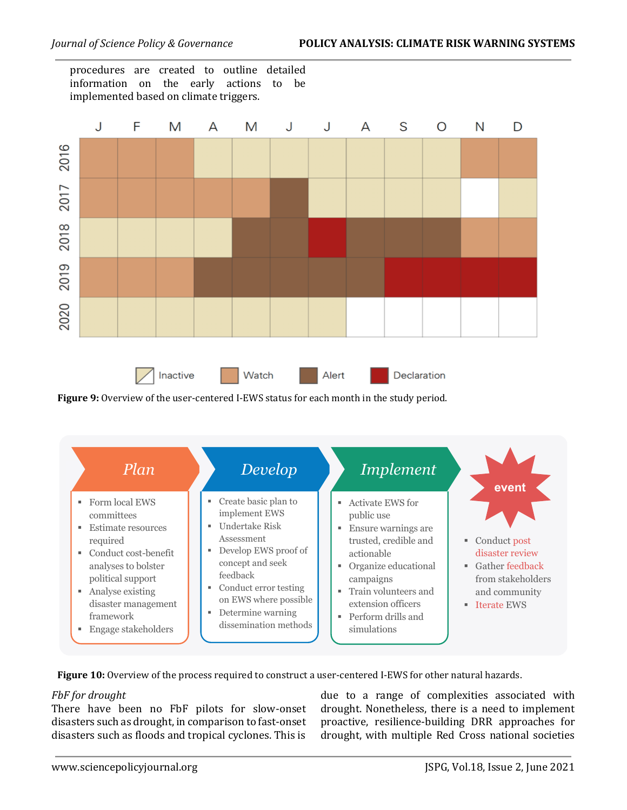procedures are created to outline detailed information on the early actions to be implemented based on climate triggers.



**Figure 9:** Overview of the user-centered I-EWS status for each month in the study period.



**Figure 10:** Overview of the process required to construct a user-centered I-EWS for other natural hazards.

# *FbF for drought*

There have been no FbF pilots for slow-onset disasters such as drought, in comparison to fast-onset disasters such as floods and tropical cyclones. This is

due to a range of complexities associated with drought. Nonetheless, there is a need to implement proactive, resilience-building DRR approaches for drought, with multiple Red Cross national societies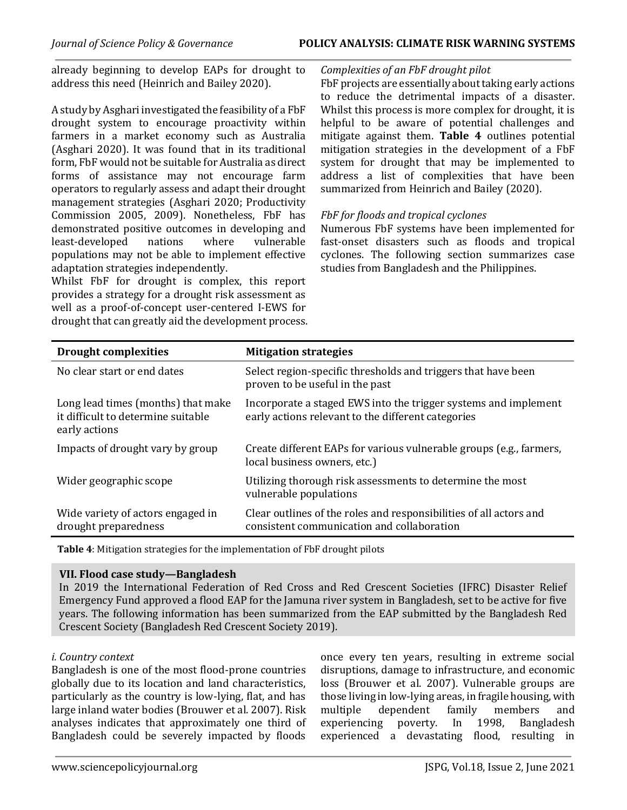#### *Journal of Science Policy & Governance* **POLICY ANALYSIS: CLIMATE RISK WARNING SYSTEMS**

already beginning to develop EAPs for drought to address this need (Heinrich and Bailey 2020).

A study by Asghari investigated the feasibility of a FbF drought system to encourage proactivity within farmers in a market economy such as Australia (Asghari 2020). It was found that in its traditional form, FbF would not be suitable for Australia as direct forms of assistance may not encourage farm operators to regularly assess and adapt their drought management strategies (Asghari 2020; Productivity Commission 2005, 2009). Nonetheless, FbF has demonstrated positive outcomes in developing and least-developed nations where vulnerable populations may not be able to implement effective adaptation strategies independently.

Whilst FbF for drought is complex, this report provides a strategy for a drought risk assessment as well as a proof-of-concept user-centered I-EWS for drought that can greatly aid the development process.

#### *Complexities of an FbF drought pilot*

FbF projects are essentially about taking early actions to reduce the detrimental impacts of a disaster. Whilst this process is more complex for drought, it is helpful to be aware of potential challenges and mitigate against them. **Table 4** outlines potential mitigation strategies in the development of a FbF system for drought that may be implemented to address a list of complexities that have been summarized from Heinrich and Bailey (2020).

# *FbF for floods and tropical cyclones*

Numerous FbF systems have been implemented for fast-onset disasters such as floods and tropical cyclones. The following section summarizes case studies from Bangladesh and the Philippines.

| <b>Drought complexities</b>                                                               | <b>Mitigation strategies</b>                                                                                          |
|-------------------------------------------------------------------------------------------|-----------------------------------------------------------------------------------------------------------------------|
| No clear start or end dates                                                               | Select region-specific thresholds and triggers that have been<br>proven to be useful in the past                      |
| Long lead times (months) that make<br>it difficult to determine suitable<br>early actions | Incorporate a staged EWS into the trigger systems and implement<br>early actions relevant to the different categories |
| Impacts of drought vary by group                                                          | Create different EAPs for various vulnerable groups (e.g., farmers,<br>local business owners, etc.)                   |
| Wider geographic scope                                                                    | Utilizing thorough risk assessments to determine the most<br>vulnerable populations                                   |
| Wide variety of actors engaged in<br>drought preparedness                                 | Clear outlines of the roles and responsibilities of all actors and<br>consistent communication and collaboration      |

**Table 4**: Mitigation strategies for the implementation of FbF drought pilots

#### **VII. Flood case study—Bangladesh**

In 2019 the International Federation of Red Cross and Red Crescent Societies (IFRC) Disaster Relief Emergency Fund approved a flood EAP for the Jamuna river system in Bangladesh, set to be active for five years. The following information has been summarized from the EAP submitted by the Bangladesh Red Crescent Society (Bangladesh Red Crescent Society 2019).

#### *i. Country context*

Bangladesh is one of the most flood-prone countries globally due to its location and land characteristics, particularly as the country is low-lying, flat, and has large inland water bodies (Brouwer et al. 2007). Risk analyses indicates that approximately one third of Bangladesh could be severely impacted by floods once every ten years, resulting in extreme social disruptions, damage to infrastructure, and economic loss (Brouwer et al. 2007). Vulnerable groups are those living in low-lying areas, in fragile housing, with multiple dependent family members and experiencing poverty. In 1998, Bangladesh experienced a devastating flood, resulting in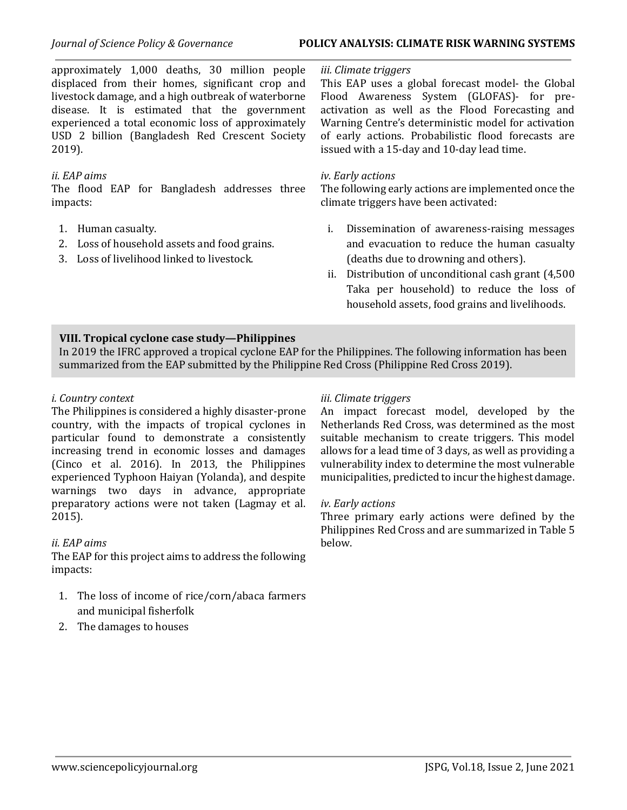#### *Journal of Science Policy & Governance* **POLICY ANALYSIS: CLIMATE RISK WARNING SYSTEMS**

approximately 1,000 deaths, 30 million people displaced from their homes, significant crop and livestock damage, and a high outbreak of waterborne disease. It is estimated that the government experienced a total economic loss of approximately USD 2 billion (Bangladesh Red Crescent Society 2019).

### *ii. EAP aims*

The flood EAP for Bangladesh addresses three impacts:

- 1. Human casualty.
- 2. Loss of household assets and food grains.
- 3. Loss of livelihood linked to livestock.

#### *iii. Climate triggers*

This EAP uses a global forecast model- the Global Flood Awareness System (GLOFAS)- for preactivation as well as the Flood Forecasting and Warning Centre's deterministic model for activation of early actions. Probabilistic flood forecasts are issued with a 15-day and 10-day lead time.

#### *iv. Early actions*

The following early actions are implemented once the climate triggers have been activated:

- i. Dissemination of awareness-raising messages and evacuation to reduce the human casualty (deaths due to drowning and others).
- ii. Distribution of unconditional cash grant (4,500 Taka per household) to reduce the loss of household assets, food grains and livelihoods.

#### **VIII. Tropical cyclone case study—Philippines**

In 2019 the IFRC approved a tropical cyclone EAP for the Philippines. The following information has been summarized from the EAP submitted by the Philippine Red Cross (Philippine Red Cross 2019).

#### *i. Country context*

The Philippines is considered a highly disaster-prone country, with the impacts of tropical cyclones in particular found to demonstrate a consistently increasing trend in economic losses and damages (Cinco et al. 2016). In 2013, the Philippines experienced Typhoon Haiyan (Yolanda), and despite warnings two days in advance, appropriate preparatory actions were not taken (Lagmay et al. 2015).

#### *ii. EAP aims*

The EAP for this project aims to address the following impacts:

- 1. The loss of income of rice/corn/abaca farmers and municipal fisherfolk
- 2. The damages to houses

# *iii. Climate triggers*

An impact forecast model, developed by the Netherlands Red Cross, was determined as the most suitable mechanism to create triggers. This model allows for a lead time of 3 days, as well as providing a vulnerability index to determine the most vulnerable municipalities, predicted to incur the highest damage.

#### *iv. Early actions*

Three primary early actions were defined by the Philippines Red Cross and are summarized in Table 5 below.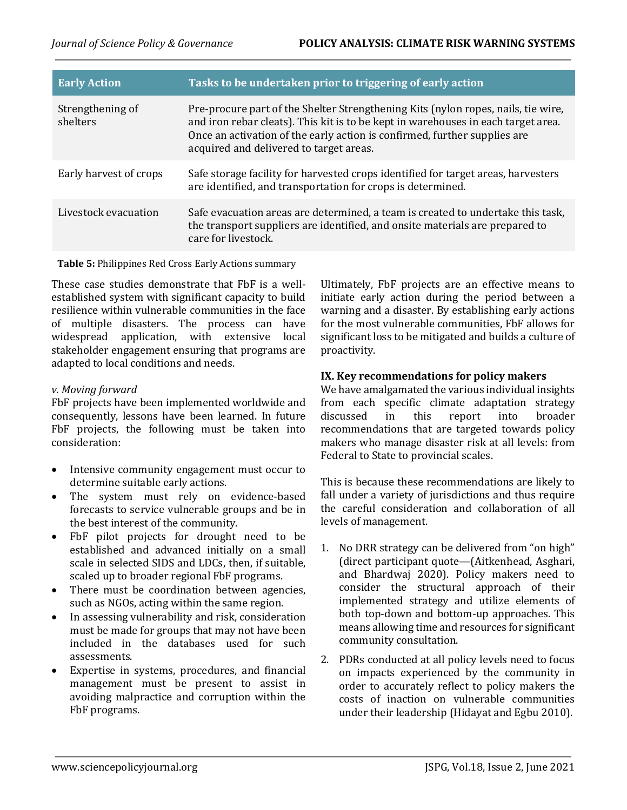| <b>Early Action</b>          | Tasks to be undertaken prior to triggering of early action                                                                                                                                                                                                                                     |
|------------------------------|------------------------------------------------------------------------------------------------------------------------------------------------------------------------------------------------------------------------------------------------------------------------------------------------|
| Strengthening of<br>shelters | Pre-procure part of the Shelter Strengthening Kits (nylon ropes, nails, tie wire,<br>and iron rebar cleats). This kit is to be kept in warehouses in each target area.<br>Once an activation of the early action is confirmed, further supplies are<br>acquired and delivered to target areas. |
| Early harvest of crops       | Safe storage facility for harvested crops identified for target areas, harvesters<br>are identified, and transportation for crops is determined.                                                                                                                                               |
| Livestock evacuation         | Safe evacuation areas are determined, a team is created to undertake this task,<br>the transport suppliers are identified, and onsite materials are prepared to<br>care for livestock.                                                                                                         |

**Table 5:** Philippines Red Cross Early Actions summary

These case studies demonstrate that FbF is a wellestablished system with significant capacity to build resilience within vulnerable communities in the face of multiple disasters. The process can have widespread application, with extensive local stakeholder engagement ensuring that programs are adapted to local conditions and needs.

# *v. Moving forward*

FbF projects have been implemented worldwide and consequently, lessons have been learned. In future FbF projects, the following must be taken into consideration:

- Intensive community engagement must occur to determine suitable early actions.
- The system must rely on evidence-based forecasts to service vulnerable groups and be in the best interest of the community.
- FbF pilot projects for drought need to be established and advanced initially on a small scale in selected SIDS and LDCs, then, if suitable, scaled up to broader regional FbF programs.
- There must be coordination between agencies, such as NGOs, acting within the same region.
- In assessing vulnerability and risk, consideration must be made for groups that may not have been included in the databases used for such assessments.
- Expertise in systems, procedures, and financial management must be present to assist in avoiding malpractice and corruption within the FbF programs.

Ultimately, FbF projects are an effective means to initiate early action during the period between a warning and a disaster. By establishing early actions for the most vulnerable communities, FbF allows for significant loss to be mitigated and builds a culture of proactivity.

# **IX. Key recommendations for policy makers**

We have amalgamated the various individual insights from each specific climate adaptation strategy discussed in this report into broader recommendations that are targeted towards policy makers who manage disaster risk at all levels: from Federal to State to provincial scales.

This is because these recommendations are likely to fall under a variety of jurisdictions and thus require the careful consideration and collaboration of all levels of management.

- 1. No DRR strategy can be delivered from "on high" (direct participant quote—(Aitkenhead, Asghari, and Bhardwaj 2020). Policy makers need to consider the structural approach of their implemented strategy and utilize elements of both top-down and bottom-up approaches. This means allowing time and resources for significant community consultation.
- 2. PDRs conducted at all policy levels need to focus on impacts experienced by the community in order to accurately reflect to policy makers the costs of inaction on vulnerable communities under their leadership (Hidayat and Egbu 2010).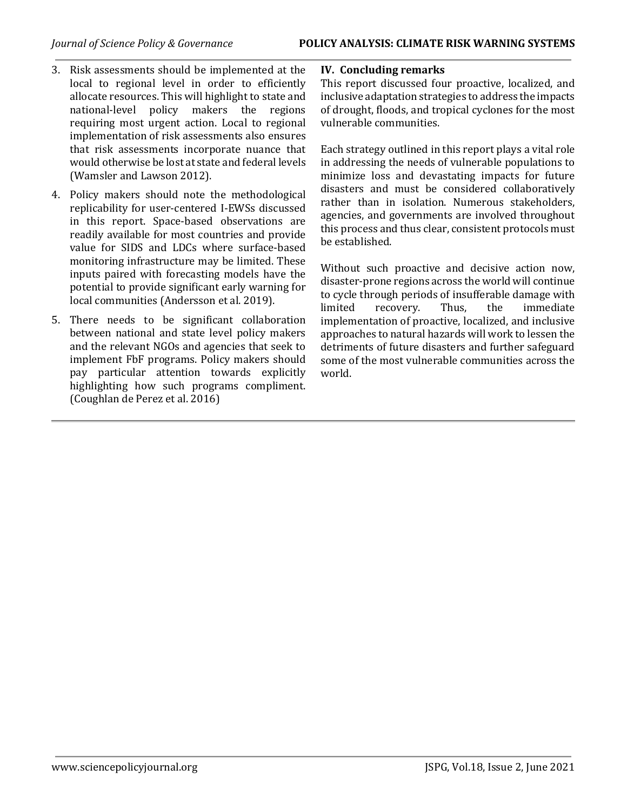- 3. Risk assessments should be implemented at the local to regional level in order to efficiently allocate resources. This will highlight to state and national-level policy makers the regions requiring most urgent action. Local to regional implementation of risk assessments also ensures that risk assessments incorporate nuance that would otherwise be lost at state and federal levels (Wamsler and Lawson 2012).
- 4. Policy makers should note the methodological replicability for user-centered I-EWSs discussed in this report. Space-based observations are readily available for most countries and provide value for SIDS and LDCs where surface-based monitoring infrastructure may be limited. These inputs paired with forecasting models have the potential to provide significant early warning for local communities (Andersson et al. 2019).
- 5. There needs to be significant collaboration between national and state level policy makers and the relevant NGOs and agencies that seek to implement FbF programs. Policy makers should pay particular attention towards explicitly highlighting how such programs compliment. (Coughlan de Perez et al. 2016)

# **IV. Concluding remarks**

This report discussed four proactive, localized, and inclusive adaptation strategies to address the impacts of drought, floods, and tropical cyclones for the most vulnerable communities.

Each strategy outlined in this report plays a vital role in addressing the needs of vulnerable populations to minimize loss and devastating impacts for future disasters and must be considered collaboratively rather than in isolation. Numerous stakeholders, agencies, and governments are involved throughout this process and thus clear, consistent protocols must be established.

Without such proactive and decisive action now, disaster-prone regions across the world will continue to cycle through periods of insufferable damage with limited recovery. Thus, the immediate implementation of proactive, localized, and inclusive approaches to natural hazards will work to lessen the detriments of future disasters and further safeguard some of the most vulnerable communities across the world.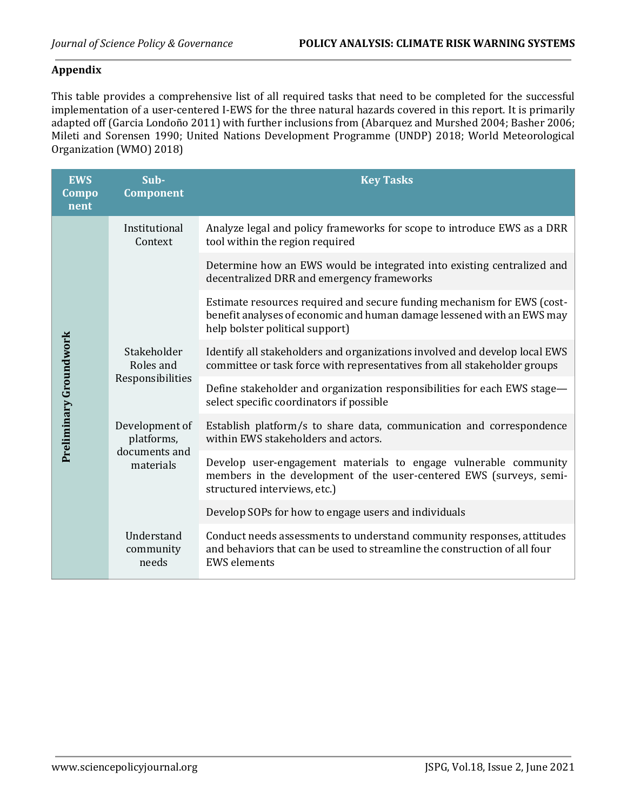# **Appendix**

This table provides a comprehensive list of all required tasks that need to be completed for the successful implementation of a user-centered I-EWS for the three natural hazards covered in this report. It is primarily adapted off (Garcia Londoño 2011) with further inclusions from (Abarquez and Murshed 2004; Basher 2006; Mileti and Sorensen 1990; United Nations Development Programme (UNDP) 2018; World Meteorological Organization (WMO) 2018)

| <b>EWS</b><br>Compo<br>nent | Sub-<br><b>Component</b>                                   | <b>Key Tasks</b>                                                                                                                                                                     |
|-----------------------------|------------------------------------------------------------|--------------------------------------------------------------------------------------------------------------------------------------------------------------------------------------|
| Preliminary Groundwork      | Institutional<br>Context                                   | Analyze legal and policy frameworks for scope to introduce EWS as a DRR<br>tool within the region required                                                                           |
|                             |                                                            | Determine how an EWS would be integrated into existing centralized and<br>decentralized DRR and emergency frameworks                                                                 |
|                             |                                                            | Estimate resources required and secure funding mechanism for EWS (cost-<br>benefit analyses of economic and human damage lessened with an EWS may<br>help bolster political support) |
|                             | Stakeholder<br>Roles and<br>Responsibilities               | Identify all stakeholders and organizations involved and develop local EWS<br>committee or task force with representatives from all stakeholder groups                               |
|                             |                                                            | Define stakeholder and organization responsibilities for each EWS stage-<br>select specific coordinators if possible                                                                 |
|                             | Development of<br>platforms,<br>documents and<br>materials | Establish platform/s to share data, communication and correspondence<br>within EWS stakeholders and actors.                                                                          |
|                             |                                                            | Develop user-engagement materials to engage vulnerable community<br>members in the development of the user-centered EWS (surveys, semi-<br>structured interviews, etc.)              |
|                             |                                                            | Develop SOPs for how to engage users and individuals                                                                                                                                 |
|                             | Understand<br>community<br>needs                           | Conduct needs assessments to understand community responses, attitudes<br>and behaviors that can be used to streamline the construction of all four<br><b>EWS</b> elements           |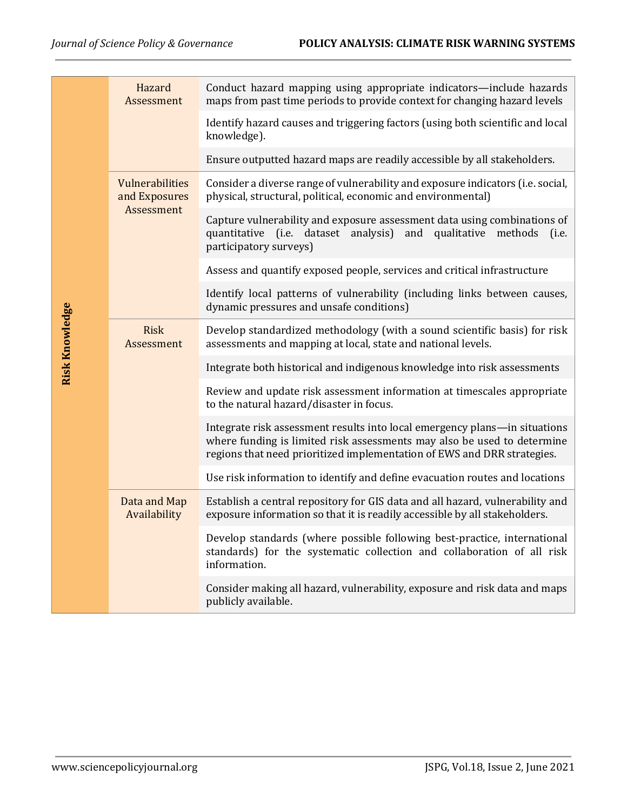|                       | Hazard<br>Assessment                           | Conduct hazard mapping using appropriate indicators—include hazards<br>maps from past time periods to provide context for changing hazard levels                                                                                 |
|-----------------------|------------------------------------------------|----------------------------------------------------------------------------------------------------------------------------------------------------------------------------------------------------------------------------------|
|                       |                                                | Identify hazard causes and triggering factors (using both scientific and local<br>knowledge).                                                                                                                                    |
|                       |                                                | Ensure outputted hazard maps are readily accessible by all stakeholders.                                                                                                                                                         |
|                       | Vulnerabilities<br>and Exposures<br>Assessment | Consider a diverse range of vulnerability and exposure indicators (i.e. social,<br>physical, structural, political, economic and environmental)                                                                                  |
|                       |                                                | Capture vulnerability and exposure assessment data using combinations of<br>quantitative (i.e. dataset analysis)<br>and qualitative methods<br>(i.e.<br>participatory surveys)                                                   |
|                       |                                                | Assess and quantify exposed people, services and critical infrastructure                                                                                                                                                         |
|                       |                                                | Identify local patterns of vulnerability (including links between causes,<br>dynamic pressures and unsafe conditions)                                                                                                            |
| <b>Risk Knowledge</b> | <b>Risk</b><br>Assessment                      | Develop standardized methodology (with a sound scientific basis) for risk<br>assessments and mapping at local, state and national levels.                                                                                        |
|                       |                                                | Integrate both historical and indigenous knowledge into risk assessments                                                                                                                                                         |
|                       |                                                | Review and update risk assessment information at timescales appropriate<br>to the natural hazard/disaster in focus.                                                                                                              |
|                       |                                                | Integrate risk assessment results into local emergency plans-in situations<br>where funding is limited risk assessments may also be used to determine<br>regions that need prioritized implementation of EWS and DRR strategies. |
|                       |                                                | Use risk information to identify and define evacuation routes and locations                                                                                                                                                      |
|                       | Data and Map<br>Availability                   | Establish a central repository for GIS data and all hazard, vulnerability and<br>exposure information so that it is readily accessible by all stakeholders.                                                                      |
|                       |                                                | Develop standards (where possible following best-practice, international<br>standards) for the systematic collection and collaboration of all risk<br>information.                                                               |
|                       |                                                | Consider making all hazard, vulnerability, exposure and risk data and maps<br>publicly available.                                                                                                                                |
|                       |                                                |                                                                                                                                                                                                                                  |
|                       |                                                |                                                                                                                                                                                                                                  |
|                       |                                                |                                                                                                                                                                                                                                  |
|                       |                                                |                                                                                                                                                                                                                                  |
|                       |                                                |                                                                                                                                                                                                                                  |
|                       | www.sciencepolicyjournal.org                   | JSPG, Vol.18, Issue 2, June 2021                                                                                                                                                                                                 |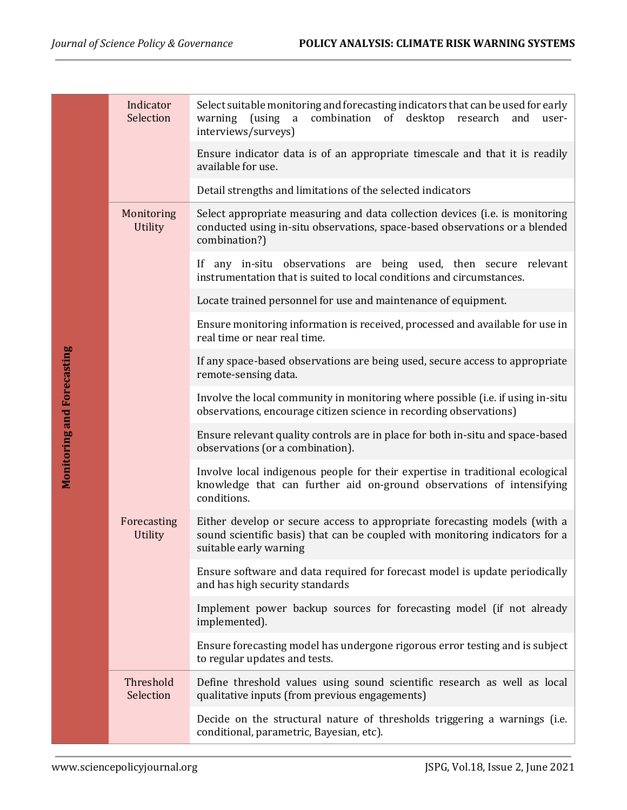|                                   | Indicator<br>Selection        | Select suitable monitoring and forecasting indicators that can be used for early<br>combination of desktop<br>warning<br>(using<br>$\mathbf{a}$<br>research<br>and<br>user-<br>interviews/surveys) |
|-----------------------------------|-------------------------------|----------------------------------------------------------------------------------------------------------------------------------------------------------------------------------------------------|
|                                   |                               | Ensure indicator data is of an appropriate timescale and that it is readily<br>available for use.                                                                                                  |
|                                   |                               | Detail strengths and limitations of the selected indicators                                                                                                                                        |
|                                   | Monitoring<br>Utility         | Select appropriate measuring and data collection devices (i.e. is monitoring<br>conducted using in-situ observations, space-based observations or a blended<br>combination?)                       |
|                                   |                               | If any in-situ observations are being used, then secure relevant<br>instrumentation that is suited to local conditions and circumstances.                                                          |
|                                   |                               | Locate trained personnel for use and maintenance of equipment.                                                                                                                                     |
|                                   |                               | Ensure monitoring information is received, processed and available for use in<br>real time or near real time.                                                                                      |
|                                   |                               | If any space-based observations are being used, secure access to appropriate<br>remote-sensing data.                                                                                               |
| <b>Monitoring and Forecasting</b> |                               | Involve the local community in monitoring where possible (i.e. if using in-situ<br>observations, encourage citizen science in recording observations)                                              |
|                                   |                               | Ensure relevant quality controls are in place for both in-situ and space-based<br>observations (or a combination).                                                                                 |
|                                   |                               | Involve local indigenous people for their expertise in traditional ecological<br>knowledge that can further aid on-ground observations of intensifying<br>conditions.                              |
|                                   | Forecasting<br><b>Utility</b> | Either develop or secure access to appropriate forecasting models (with a<br>sound scientific basis) that can be coupled with monitoring indicators for a<br>suitable early warning                |
|                                   |                               | Ensure software and data required for forecast model is update periodically<br>and has high security standards                                                                                     |
|                                   |                               | Implement power backup sources for forecasting model (if not already<br>implemented).                                                                                                              |
|                                   |                               | Ensure forecasting model has undergone rigorous error testing and is subject<br>to regular updates and tests.                                                                                      |
|                                   | Threshold<br>Selection        | Define threshold values using sound scientific research as well as local<br>qualitative inputs (from previous engagements)                                                                         |
|                                   |                               | Decide on the structural nature of thresholds triggering a warnings (i.e.<br>conditional, parametric, Bayesian, etc).                                                                              |
|                                   | www.sciencepolicyjournal.org  | JSPG, Vol.18, Issue 2, June 2021                                                                                                                                                                   |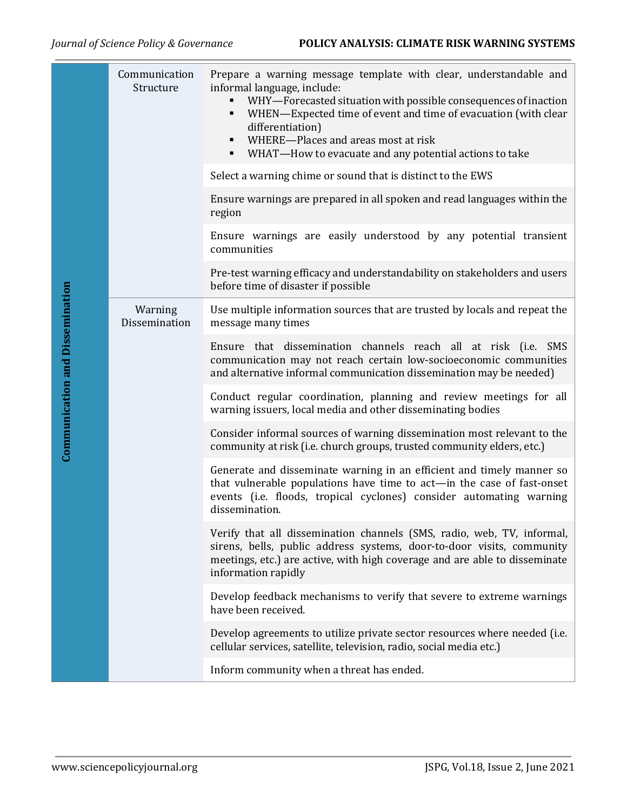|                                        | Communication<br>Structure   | Prepare a warning message template with clear, understandable and<br>informal language, include:<br>WHY-Forecasted situation with possible consequences of inaction<br>٠<br>WHEN-Expected time of event and time of evacuation (with clear<br>٠<br>differentiation)<br>WHERE-Places and areas most at risk<br>٠<br>WHAT-How to evacuate and any potential actions to take |
|----------------------------------------|------------------------------|---------------------------------------------------------------------------------------------------------------------------------------------------------------------------------------------------------------------------------------------------------------------------------------------------------------------------------------------------------------------------|
|                                        |                              | Select a warning chime or sound that is distinct to the EWS                                                                                                                                                                                                                                                                                                               |
|                                        |                              | Ensure warnings are prepared in all spoken and read languages within the<br>region                                                                                                                                                                                                                                                                                        |
|                                        |                              | Ensure warnings are easily understood by any potential transient<br>communities                                                                                                                                                                                                                                                                                           |
|                                        |                              | Pre-test warning efficacy and understandability on stakeholders and users<br>before time of disaster if possible                                                                                                                                                                                                                                                          |
|                                        | Warning<br>Dissemination     | Use multiple information sources that are trusted by locals and repeat the<br>message many times                                                                                                                                                                                                                                                                          |
| <b>Communication and Dissemination</b> |                              | Ensure that dissemination channels reach all at risk (i.e. SMS<br>communication may not reach certain low-socioeconomic communities<br>and alternative informal communication dissemination may be needed)                                                                                                                                                                |
|                                        |                              | Conduct regular coordination, planning and review meetings for all<br>warning issuers, local media and other disseminating bodies                                                                                                                                                                                                                                         |
|                                        |                              | Consider informal sources of warning dissemination most relevant to the<br>community at risk (i.e. church groups, trusted community elders, etc.)                                                                                                                                                                                                                         |
|                                        |                              | Generate and disseminate warning in an efficient and timely manner so<br>that vulnerable populations have time to act-in the case of fast-onset<br>events (i.e. floods, tropical cyclones) consider automating warning<br>dissemination.                                                                                                                                  |
|                                        |                              | Verify that all dissemination channels (SMS, radio, web, TV, informal,<br>sirens, bells, public address systems, door-to-door visits, community<br>meetings, etc.) are active, with high coverage and are able to disseminate<br>information rapidly                                                                                                                      |
|                                        |                              | Develop feedback mechanisms to verify that severe to extreme warnings<br>have been received.                                                                                                                                                                                                                                                                              |
|                                        |                              | Develop agreements to utilize private sector resources where needed (i.e.<br>cellular services, satellite, television, radio, social media etc.)                                                                                                                                                                                                                          |
|                                        |                              | Inform community when a threat has ended.                                                                                                                                                                                                                                                                                                                                 |
|                                        |                              |                                                                                                                                                                                                                                                                                                                                                                           |
|                                        | www.sciencepolicyjournal.org | JSPG, Vol.18, Issue 2, June 2021                                                                                                                                                                                                                                                                                                                                          |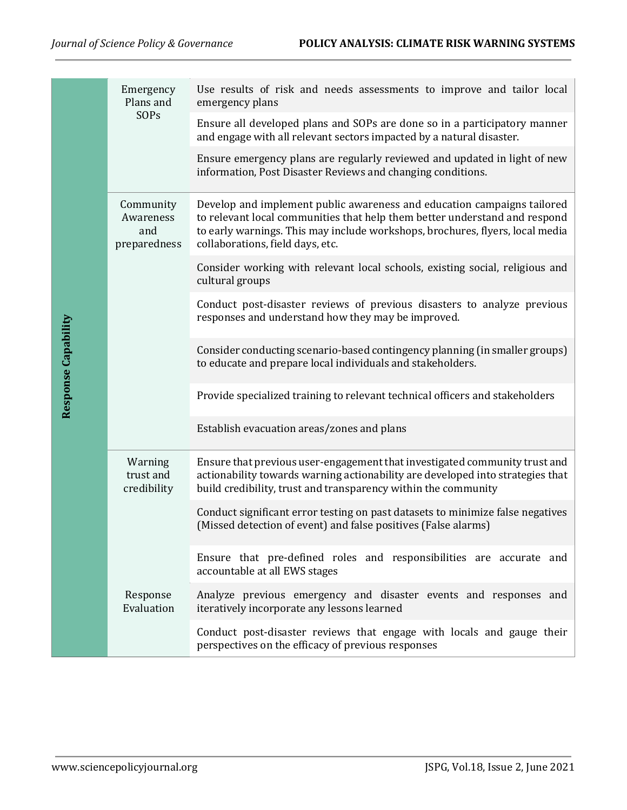|                     | Emergency<br>Plans and<br>SOPs                | Use results of risk and needs assessments to improve and tailor local<br>emergency plans                                                                                                                                                                                   |
|---------------------|-----------------------------------------------|----------------------------------------------------------------------------------------------------------------------------------------------------------------------------------------------------------------------------------------------------------------------------|
|                     |                                               | Ensure all developed plans and SOPs are done so in a participatory manner<br>and engage with all relevant sectors impacted by a natural disaster.                                                                                                                          |
|                     |                                               | Ensure emergency plans are regularly reviewed and updated in light of new<br>information, Post Disaster Reviews and changing conditions.                                                                                                                                   |
|                     | Community<br>Awareness<br>and<br>preparedness | Develop and implement public awareness and education campaigns tailored<br>to relevant local communities that help them better understand and respond<br>to early warnings. This may include workshops, brochures, flyers, local media<br>collaborations, field days, etc. |
|                     |                                               | Consider working with relevant local schools, existing social, religious and<br>cultural groups                                                                                                                                                                            |
| Response Capability |                                               | Conduct post-disaster reviews of previous disasters to analyze previous<br>responses and understand how they may be improved.                                                                                                                                              |
|                     |                                               | Consider conducting scenario-based contingency planning (in smaller groups)<br>to educate and prepare local individuals and stakeholders.                                                                                                                                  |
|                     |                                               | Provide specialized training to relevant technical officers and stakeholders                                                                                                                                                                                               |
|                     |                                               | Establish evacuation areas/zones and plans                                                                                                                                                                                                                                 |
|                     | Warning<br>trust and<br>credibility           | Ensure that previous user-engagement that investigated community trust and<br>actionability towards warning actionability are developed into strategies that<br>build credibility, trust and transparency within the community                                             |
|                     |                                               | Conduct significant error testing on past datasets to minimize false negatives<br>(Missed detection of event) and false positives (False alarms)                                                                                                                           |
|                     |                                               | Ensure that pre-defined roles and responsibilities are accurate and<br>accountable at all EWS stages                                                                                                                                                                       |
|                     | Response<br>Evaluation                        | Analyze previous emergency and disaster events and responses and<br>iteratively incorporate any lessons learned                                                                                                                                                            |
|                     |                                               | Conduct post-disaster reviews that engage with locals and gauge their<br>perspectives on the efficacy of previous responses                                                                                                                                                |
|                     |                                               |                                                                                                                                                                                                                                                                            |
|                     |                                               |                                                                                                                                                                                                                                                                            |
|                     | www.sciencepolicyjournal.org                  | JSPG, Vol.18, Issue 2, June 2021                                                                                                                                                                                                                                           |
|                     |                                               |                                                                                                                                                                                                                                                                            |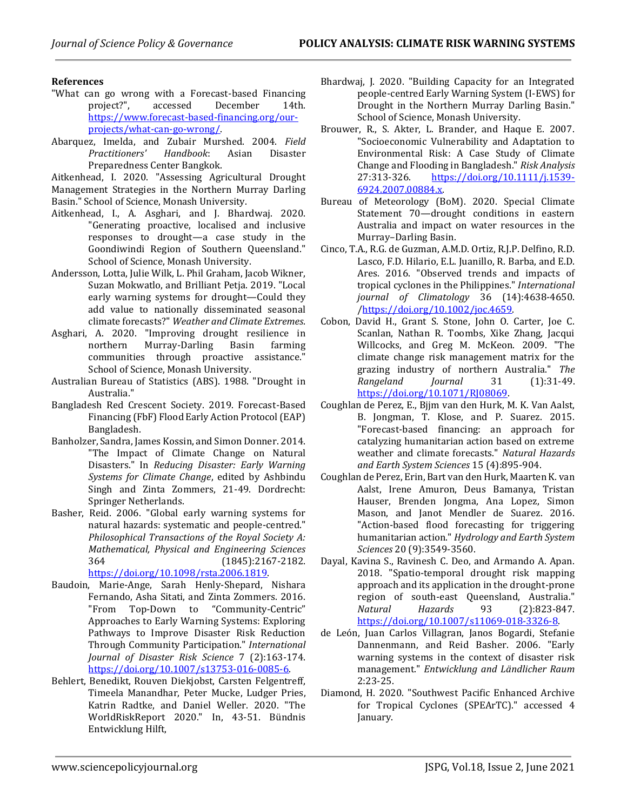#### **References**

- "What can go wrong with a Forecast-based Financing project?", accessed December 14th. [https://www.forecast-based-financing.org/our](https://www.forecast-based-financing.org/our-projects/what-can-go-wrong/)[projects/what-can-go-wrong/.](https://www.forecast-based-financing.org/our-projects/what-can-go-wrong/)
- Abarquez, Imelda, and Zubair Murshed. 2004. *Field Practitioners' Handbook*: Asian Disaster Preparedness Center Bangkok.

Aitkenhead, I. 2020. "Assessing Agricultural Drought Management Strategies in the Northern Murray Darling Basin." School of Science, Monash University.

- Aitkenhead, I., A. Asghari, and J. Bhardwaj. 2020. "Generating proactive, localised and inclusive responses to drought—a case study in the Goondiwindi Region of Southern Queensland." School of Science, Monash University.
- Andersson, Lotta, Julie Wilk, L. Phil Graham, Jacob Wikner, Suzan Mokwatlo, and Brilliant Petja. 2019. "Local early warning systems for drought—Could they add value to nationally disseminated seasonal climate forecasts?" *Weather and Climate Extremes*.
- Asghari, A. 2020. "Improving drought resilience in northern Murray-Darling Basin farming communities through proactive assistance." School of Science, Monash University.
- Australian Bureau of Statistics (ABS). 1988. "Drought in Australia."
- Bangladesh Red Crescent Society. 2019. Forecast-Based Financing (FbF) Flood Early Action Protocol (EAP) Bangladesh.
- Banholzer, Sandra, James Kossin, and Simon Donner. 2014. "The Impact of Climate Change on Natural Disasters." In *Reducing Disaster: Early Warning Systems for Climate Change*, edited by Ashbindu Singh and Zinta Zommers, 21-49. Dordrecht: Springer Netherlands.
- Basher, Reid. 2006. "Global early warning systems for natural hazards: systematic and people-centred." *Philosophical Transactions of the Royal Society A: Mathematical, Physical and Engineering Sciences* 364 (1845):2167-2182. [https://doi.org/10.1098/rsta.2006.1819.](https://doi.org/10.1098/rsta.2006.1819)
- Baudoin, Marie-Ange, Sarah Henly-Shepard, Nishara Fernando, Asha Sitati, and Zinta Zommers. 2016. "From Top-Down to "Community-Centric" Approaches to Early Warning Systems: Exploring Pathways to Improve Disaster Risk Reduction Through Community Participation." *International Journal of Disaster Risk Science* 7 (2):163-174. [https://doi.org/10.1007/s13753-016-0085-6.](https://doi.org/10.1007/s13753-016-0085-6)
- Behlert, Benedikt, Rouven Diekjobst, Carsten Felgentreff, Timeela Manandhar, Peter Mucke, Ludger Pries, Katrin Radtke, and Daniel Weller. 2020. "The WorldRiskReport 2020." In, 43-51. Bündnis Entwicklung Hilft,
- Bhardwaj, J. 2020. "Building Capacity for an Integrated people-centred Early Warning System (I-EWS) for Drought in the Northern Murray Darling Basin." School of Science, Monash University.
- Brouwer, R., S. Akter, L. Brander, and Haque E. 2007. "Socioeconomic Vulnerability and Adaptation to Environmental Risk: A Case Study of Climate Change and Flooding in Bangladesh." *Risk Analysis* 27:313-326. [https://doi.org/10.1111/j.1539-](https://doi.org/10.1111/j.1539-6924.2007.00884.x) [6924.2007.00884.x.](https://doi.org/10.1111/j.1539-6924.2007.00884.x)
- Bureau of Meteorology (BoM). 2020. Special Climate Statement 70—drought conditions in eastern Australia and impact on water resources in the Murray–Darling Basin.
- Cinco, T.A., R.G. de Guzman, A.M.D. Ortiz, R.J.P. Delfino, R.D. Lasco, F.D. Hilario, E.L. Juanillo, R. Barba, and E.D. Ares. 2016. "Observed trends and impacts of tropical cyclones in the Philippines." *International journal of Climatology* 36 (14):4638-4650. [/https://doi.org/10.1002/joc.4659.](https://doi.org/10.1002/joc.4659)
- Cobon, David H., Grant S. Stone, John O. Carter, Joe C. Scanlan, Nathan R. Toombs, Xike Zhang, Jacqui Willcocks, and Greg M. McKeon. 2009. "The climate change risk management matrix for the grazing industry of northern Australia." *The Rangeland Journal* 31 (1):31-49. [https://doi.org/10.1071/RJ08069.](https://doi.org/10.1071/RJ08069)
- Coughlan de Perez, E., Bjjm van den Hurk, M. K. Van Aalst, B. Jongman, T. Klose, and P. Suarez. 2015. "Forecast-based financing: an approach for catalyzing humanitarian action based on extreme weather and climate forecasts." *Natural Hazards and Earth System Sciences* 15 (4):895-904.
- Coughlan de Perez, Erin, Bart van den Hurk, Maarten K. van Aalst, Irene Amuron, Deus Bamanya, Tristan Hauser, Brenden Jongma, Ana Lopez, Simon Mason, and Janot Mendler de Suarez. 2016. "Action-based flood forecasting for triggering humanitarian action." *Hydrology and Earth System Sciences* 20 (9):3549-3560.
- Dayal, Kavina S., Ravinesh C. Deo, and Armando A. Apan. 2018. "Spatio-temporal drought risk mapping approach and its application in the drought-prone region of south-east Queensland, Australia." *Natural Hazards* 93 (2):823-847. [https://doi.org/10.1007/s11069-018-3326-8.](https://doi.org/10.1007/s11069-018-3326-8)
- de León, Juan Carlos Villagran, Janos Bogardi, Stefanie Dannenmann, and Reid Basher. 2006. "Early warning systems in the context of disaster risk management." *Entwicklung and Ländlicher Raum* 2:23-25.
- Diamond, H. 2020. "Southwest Pacific Enhanced Archive for Tropical Cyclones (SPEArTC)." accessed 4 January.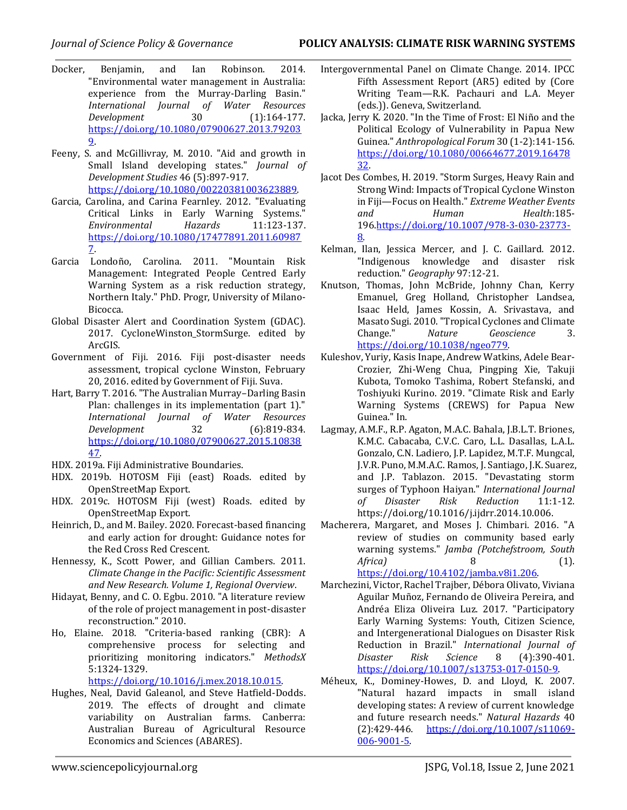- Docker, Benjamin, and Ian Robinson. 2014. "Environmental water management in Australia: experience from the Murray-Darling Basin." *International Journal of Water Resources Development* 30 (1):164-177. [https://doi.org/10.1080/07900627.2013.79203](https://doi.org/10.1080/07900627.2013.792039) [9.](https://doi.org/10.1080/07900627.2013.792039)
- Feeny, S. and McGillivray, M. 2010. "Aid and growth in Small Island developing states." *Journal of Development Studies* 46 (5):897-917. [https://doi.org/10.1080/00220381003623889.](https://doi.org/10.1080/00220381003623889)
- Garcia, Carolina, and Carina Fearnley. 2012. "Evaluating Critical Links in Early Warning Systems." *Environmental Hazards* 11:123-137. [https://doi.org/10.1080/17477891.2011.60987](https://doi.org/10.1080/17477891.2011.609877) [7.](https://doi.org/10.1080/17477891.2011.609877)
- Garcia Londoño, Carolina. 2011. "Mountain Risk Management: Integrated People Centred Early Warning System as a risk reduction strategy, Northern Italy." PhD. Progr, University of Milano-Bicocca.
- Global Disaster Alert and Coordination System (GDAC). 2017. CycloneWinston\_StormSurge. edited by ArcGIS.
- Government of Fiji. 2016. Fiji post-disaster needs assessment, tropical cyclone Winston, February 20, 2016. edited by Government of Fiji. Suva.
- Hart, Barry T. 2016. "The Australian Murray–Darling Basin Plan: challenges in its implementation (part 1)." *International Journal of Water Resources Development* 32 (6):819-834. [https://doi.org/10.1080/07900627.2015.10838](https://doi.org/10.1080/07900627.2015.1083847) [47.](https://doi.org/10.1080/07900627.2015.1083847)
- HDX. 2019a. Fiji Administrative Boundaries.
- HDX. 2019b. HOTOSM Fiji (east) Roads. edited by OpenStreetMap Export.
- HDX. 2019c. HOTOSM Fiji (west) Roads. edited by OpenStreetMap Export.
- Heinrich, D., and M. Bailey. 2020. Forecast-based financing and early action for drought: Guidance notes for the Red Cross Red Crescent.
- Hennessy, K., Scott Power, and Gillian Cambers. 2011. *Climate Change in the Pacific: Scientific Assessment and New Research. Volume 1, Regional Overview*.
- Hidayat, Benny, and C. O. Egbu. 2010. "A literature review of the role of project management in post-disaster reconstruction." 2010.
- Ho, Elaine. 2018. "Criteria-based ranking (CBR): A comprehensive process for selecting and prioritizing monitoring indicators." *MethodsX* 5:1324-1329.

[https://doi.org/10.1016/j.mex.2018.10.015.](https://doi.org/10.1016/j.mex.2018.10.015)

Hughes, Neal, David Galeanol, and Steve Hatfield-Dodds. 2019. The effects of drought and climate variability on Australian farms. Canberra: Australian Bureau of Agricultural Resource Economics and Sciences (ABARES).

- Intergovernmental Panel on Climate Change. 2014. IPCC Fifth Assessment Report (AR5) edited by (Core Writing Team—R.K. Pachauri and L.A. Meyer (eds.)). Geneva, Switzerland.
- Jacka, Jerry K. 2020. "In the Time of Frost: El Niño and the Political Ecology of Vulnerability in Papua New Guinea." *Anthropological Forum* 30 (1-2):141-156. [https://doi.org/10.1080/00664677.2019.16478](https://doi.org/10.1080/00664677.2019.1647832) [32.](https://doi.org/10.1080/00664677.2019.1647832)
- Jacot Des Combes, H. 2019. "Storm Surges, Heavy Rain and Strong Wind: Impacts of Tropical Cyclone Winston in Fiji—Focus on Health." *Extreme Weather Events and Human Health*:185- 196[.https://doi.org/10.1007/978-3-030-23773-](https://doi.org/10.1007/978-3-030-23773-8) [8.](https://doi.org/10.1007/978-3-030-23773-8)
- Kelman, Ilan, Jessica Mercer, and J. C. Gaillard. 2012. "Indigenous knowledge and disaster risk reduction." *Geography* 97:12-21.
- Knutson, Thomas, John McBride, Johnny Chan, Kerry Emanuel, Greg Holland, Christopher Landsea, Isaac Held, James Kossin, A. Srivastava, and Masato Sugi. 2010. "Tropical Cyclones and Climate Change." *Nature Geoscience* 3. [https://doi.org/10.1038/ngeo779.](https://doi.org/10.1038/ngeo779)
- Kuleshov, Yuriy, Kasis Inape, Andrew Watkins, Adele Bear-Crozier, Zhi-Weng Chua, Pingping Xie, Takuji Kubota, Tomoko Tashima, Robert Stefanski, and Toshiyuki Kurino. 2019. "Climate Risk and Early Warning Systems (CREWS) for Papua New Guinea." In.
- Lagmay, A.M.F., R.P. Agaton, M.A.C. Bahala, J.B.L.T. Briones, K.M.C. Cabacaba, C.V.C. Caro, L.L. Dasallas, L.A.L. Gonzalo, C.N. Ladiero, J.P. Lapidez, M.T.F. Mungcal, J.V.R. Puno, M.M.A.C. Ramos, J. Santiago, J.K. Suarez, and J.P. Tablazon. 2015. "Devastating storm surges of Typhoon Haiyan." *International Journal of Disaster Risk Reduction* 11:1-12. https://doi.org/10.1016/j.ijdrr.2014.10.006.
- Macherera, Margaret, and Moses J. Chimbari. 2016. "A review of studies on community based early warning systems." *Jamba (Potchefstroom, South Africa)* 8 (1).

[https://doi.org/10.4102/jamba.v8i1.206.](https://doi.org/10.4102/jamba.v8i1.206) Marchezini, Victor, Rachel Trajber, Débora Olivato, Viviana

- Aguilar Muñoz, Fernando de Oliveira Pereira, and Andréa Eliza Oliveira Luz. 2017. "Participatory Early Warning Systems: Youth, Citizen Science, and Intergenerational Dialogues on Disaster Risk Reduction in Brazil." *International Journal of Disaster Risk Science* 8 (4):390-401. [https://doi.org/10.1007/s13753-017-0150-9.](https://doi.org/10.1007/s13753-017-0150-9)
- Méheux, K., Dominey-Howes, D. and Lloyd, K. 2007. "Natural hazard impacts in small island developing states: A review of current knowledge and future research needs." *Natural Hazards* 40 (2):429-446. [https://doi.org/10.1007/s11069-](https://doi.org/10.1007/s11069-006-9001-5) [006-9001-5.](https://doi.org/10.1007/s11069-006-9001-5)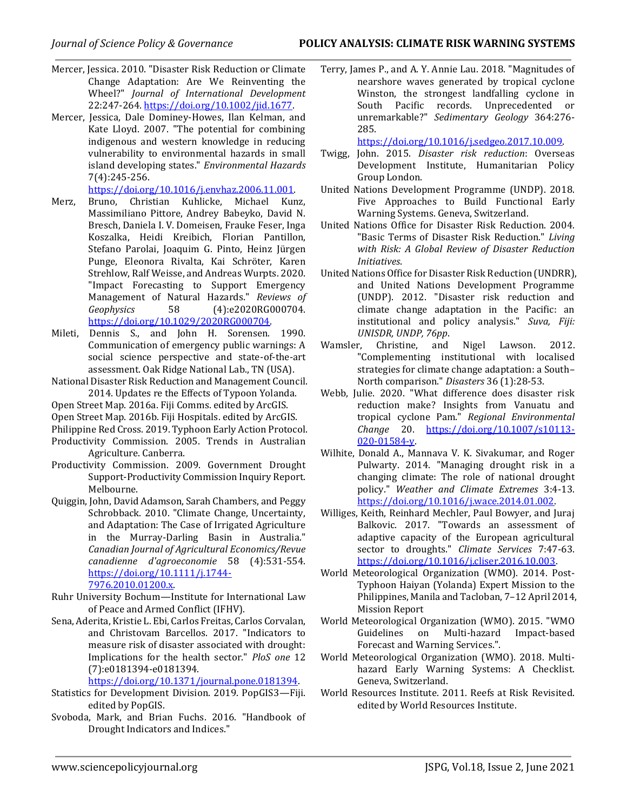- Mercer, Jessica. 2010. "Disaster Risk Reduction or Climate Change Adaptation: Are We Reinventing the Wheel?" *Journal of International Development* 22:247-264. [https://doi.org/10.1002/jid.1677.](https://doi.org/10.1002/jid.1677)
- Mercer, Jessica, Dale Dominey-Howes, Ilan Kelman, and Kate Lloyd. 2007. "The potential for combining indigenous and western knowledge in reducing vulnerability to environmental hazards in small island developing states." *Environmental Hazards* 7(4):245-256.

[https://doi.org/10.1016/j.envhaz.2006.11.001.](https://doi.org/10.1016/j.envhaz.2006.11.001)

- Merz, Bruno, Christian Kuhlicke, Michael Kunz, Massimiliano Pittore, Andrey Babeyko, David N. Bresch, Daniela I. V. Domeisen, Frauke Feser, Inga Koszalka, Heidi Kreibich, Florian Pantillon, Stefano Parolai, Joaquim G. Pinto, Heinz Jürgen Punge, Eleonora Rivalta, Kai Schröter, Karen Strehlow, Ralf Weisse, and Andreas Wurpts. 2020. "Impact Forecasting to Support Emergency Management of Natural Hazards." *Reviews of Geophysics* 58 (4):e2020RG000704. [https://doi.org/10.1029/2020RG000704.](https://doi.org/10.1029/2020RG000704)
- Mileti, Dennis S., and John H. Sorensen. 1990. Communication of emergency public warnings: A social science perspective and state-of-the-art assessment. Oak Ridge National Lab., TN (USA).
- National Disaster Risk Reduction and Management Council. 2014. Updates re the Effects of Typoon Yolanda.
- Open Street Map. 2016a. Fiji Comms. edited by ArcGIS.
- Open Street Map. 2016b. Fiji Hospitals. edited by ArcGIS.
- Philippine Red Cross. 2019. Typhoon Early Action Protocol.
- Productivity Commission. 2005. Trends in Australian Agriculture. Canberra.
- Productivity Commission. 2009. Government Drought Support-Productivity Commission Inquiry Report. Melbourne.
- Quiggin, John, David Adamson, Sarah Chambers, and Peggy Schrobback. 2010. "Climate Change, Uncertainty, and Adaptation: The Case of Irrigated Agriculture in the Murray-Darling Basin in Australia." *Canadian Journal of Agricultural Economics/Revue canadienne d'agroeconomie* 58 (4):531-554. [https://doi.org/10.1111/j.1744-](https://doi.org/10.1111/j.1744-7976.2010.01200.x) [7976.2010.01200.x.](https://doi.org/10.1111/j.1744-7976.2010.01200.x)
- Ruhr University Bochum—Institute for International Law of Peace and Armed Conflict (IFHV).
- Sena, Aderita, Kristie L. Ebi, Carlos Freitas, Carlos Corvalan, and Christovam Barcellos. 2017. "Indicators to measure risk of disaster associated with drought: Implications for the health sector." *PloS one* 12 (7):e0181394-e0181394.

[https://doi.org/10.1371/journal.pone.0181394.](https://doi.org/10.1371/journal.pone.0181394)

- Statistics for Development Division. 2019. PopGIS3—Fiji. edited by PopGIS.
- Svoboda, Mark, and Brian Fuchs. 2016. "Handbook of Drought Indicators and Indices."

Terry, James P., and A. Y. Annie Lau. 2018. "Magnitudes of nearshore waves generated by tropical cyclone Winston, the strongest landfalling cyclone in South Pacific records. Unprecedented or unremarkable?" *Sedimentary Geology* 364:276- 285.

[https://doi.org/10.1016/j.sedgeo.2017.10.009.](https://doi.org/10.1016/j.sedgeo.2017.10.009)

- Twigg, John. 2015. *Disaster risk reduction*: Overseas Development Institute, Humanitarian Policy Group London.
- United Nations Development Programme (UNDP). 2018. Five Approaches to Build Functional Early Warning Systems. Geneva, Switzerland.
- United Nations Office for Disaster Risk Reduction. 2004. "Basic Terms of Disaster Risk Reduction." *Living with Risk: A Global Review of Disaster Reduction Initiatives*.
- United Nations Office for Disaster Risk Reduction (UNDRR), and United Nations Development Programme (UNDP). 2012. "Disaster risk reduction and climate change adaptation in the Pacific: an institutional and policy analysis." *Suva, Fiji: UNISDR, UNDP, 76pp*.
- Wamsler, Christine, and Nigel Lawson. 2012. "Complementing institutional with localised strategies for climate change adaptation: a South– North comparison." *Disasters* 36 (1):28-53.
- Webb, Julie. 2020. "What difference does disaster risk reduction make? Insights from Vanuatu and tropical cyclone Pam." *Regional Environmental Change* 20. [https://doi.org/10.1007/s10113-](https://doi.org/10.1007/s10113-020-01584-y) [020-01584-y.](https://doi.org/10.1007/s10113-020-01584-y)
- Wilhite, Donald A., Mannava V. K. Sivakumar, and Roger Pulwarty. 2014. "Managing drought risk in a changing climate: The role of national drought policy." *Weather and Climate Extremes* 3:4-13. [https://doi.org/10.1016/j.wace.2014.01.002.](https://doi.org/10.1016/j.wace.2014.01.002)
- Williges, Keith, Reinhard Mechler, Paul Bowyer, and Juraj Balkovic. 2017. "Towards an assessment of adaptive capacity of the European agricultural sector to droughts." *Climate Services* 7:47-63. [https://doi.org/10.1016/j.cliser.2016.10.003.](https://doi.org/10.1016/j.cliser.2016.10.003)
- World Meteorological Organization (WMO). 2014. Post-Typhoon Haiyan (Yolanda) Expert Mission to the Philippines, Manila and Tacloban, 7–12 April 2014, Mission Report
- World Meteorological Organization (WMO). 2015. "WMO Guidelines on Multi-hazard Impact-based Forecast and Warning Services.".
- World Meteorological Organization (WMO). 2018. Multihazard Early Warning Systems: A Checklist. Geneva, Switzerland.
- World Resources Institute. 2011. Reefs at Risk Revisited. edited by World Resources Institute.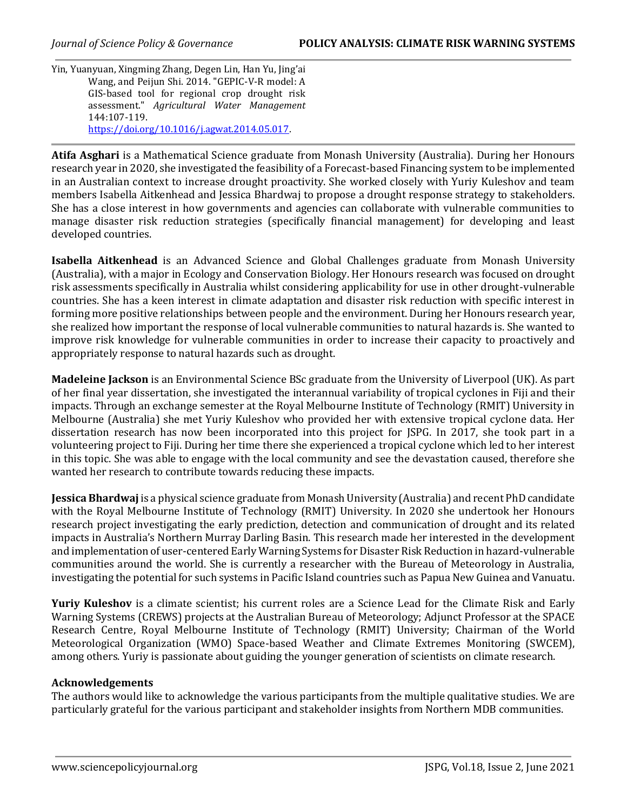Yin, Yuanyuan, Xingming Zhang, Degen Lin, Han Yu, Jing'ai Wang, and Peijun Shi. 2014. "GEPIC-V-R model: A GIS-based tool for regional crop drought risk assessment." *Agricultural Water Management* 144:107-119. [https://doi.org/10.1016/j.agwat.2014.05.017.](https://doi.org/10.1016/j.agwat.2014.05.017)

**Atifa Asghari** is a Mathematical Science graduate from Monash University (Australia). During her Honours research year in 2020, she investigated the feasibility of a Forecast-based Financing system to be implemented in an Australian context to increase drought proactivity. She worked closely with Yuriy Kuleshov and team members Isabella Aitkenhead and Jessica Bhardwaj to propose a drought response strategy to stakeholders. She has a close interest in how governments and agencies can collaborate with vulnerable communities to manage disaster risk reduction strategies (specifically financial management) for developing and least developed countries.

**Isabella Aitkenhead** is an Advanced Science and Global Challenges graduate from Monash University (Australia), with a major in Ecology and Conservation Biology. Her Honours research was focused on drought risk assessments specifically in Australia whilst considering applicability for use in other drought-vulnerable countries. She has a keen interest in climate adaptation and disaster risk reduction with specific interest in forming more positive relationships between people and the environment. During her Honours research year, she realized how important the response of local vulnerable communities to natural hazards is. She wanted to improve risk knowledge for vulnerable communities in order to increase their capacity to proactively and appropriately response to natural hazards such as drought.

**Madeleine Jackson** is an Environmental Science BSc graduate from the University of Liverpool (UK). As part of her final year dissertation, she investigated the interannual variability of tropical cyclones in Fiji and their impacts. Through an exchange semester at the Royal Melbourne Institute of Technology (RMIT) University in Melbourne (Australia) she met Yuriy Kuleshov who provided her with extensive tropical cyclone data. Her dissertation research has now been incorporated into this project for JSPG. In 2017, she took part in a volunteering project to Fiji. During her time there she experienced a tropical cyclone which led to her interest in this topic. She was able to engage with the local community and see the devastation caused, therefore she wanted her research to contribute towards reducing these impacts.

**Jessica Bhardwaj** is a physical science graduate from Monash University (Australia) and recent PhD candidate with the Royal Melbourne Institute of Technology (RMIT) University. In 2020 she undertook her Honours research project investigating the early prediction, detection and communication of drought and its related impacts in Australia's Northern Murray Darling Basin. This research made her interested in the development and implementation of user-centered Early Warning Systems for Disaster Risk Reduction in hazard-vulnerable communities around the world. She is currently a researcher with the Bureau of Meteorology in Australia, investigating the potential for such systems in Pacific Island countries such as Papua New Guinea and Vanuatu.

**Yuriy Kuleshov** is a climate scientist; his current roles are a Science Lead for the Climate Risk and Early Warning Systems (CREWS) projects at the Australian Bureau of Meteorology; Adjunct Professor at the SPACE Research Centre, Royal Melbourne Institute of Technology (RMIT) University; Chairman of the World Meteorological Organization (WMO) Space-based Weather and Climate Extremes Monitoring (SWCEM), among others. Yuriy is passionate about guiding the younger generation of scientists on climate research.

# **Acknowledgements**

The authors would like to acknowledge the various participants from the multiple qualitative studies. We are particularly grateful for the various participant and stakeholder insights from Northern MDB communities.